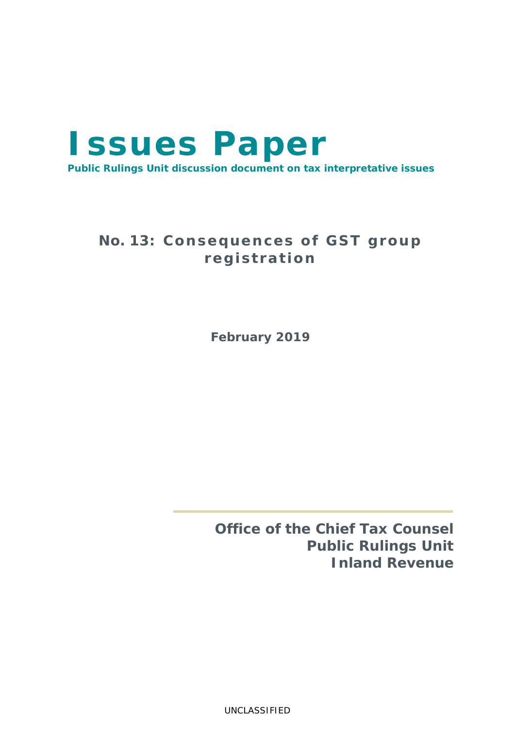# **Issues Paper Public Rulings Unit discussion document on tax interpretative issues**

## No. 13: Consequences of GST group **reg i s t ra t ion**

**February 2019**

**Office of the Chief Tax Counsel Public Rulings Unit Inland Revenue**

UNCLASSIFIED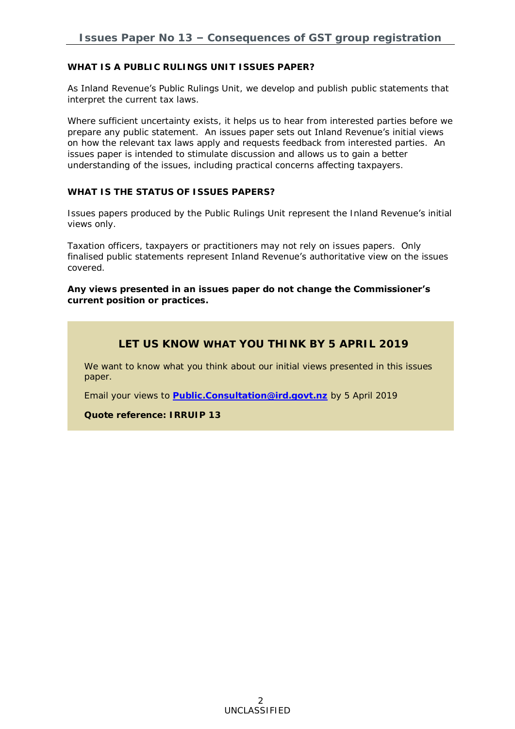**WHAT IS A PUBLIC RULINGS UNIT ISSUES PAPER?**

As Inland Revenue's Public Rulings Unit, we develop and publish public statements that interpret the current tax laws.

Where sufficient uncertainty exists, it helps us to hear from interested parties before we prepare any public statement. An issues paper sets out Inland Revenue's initial views on how the relevant tax laws apply and requests feedback from interested parties. An issues paper is intended to stimulate discussion and allows us to gain a better understanding of the issues, including practical concerns affecting taxpayers.

**WHAT IS THE STATUS OF ISSUES PAPERS?**

Issues papers produced by the Public Rulings Unit represent the Inland Revenue's initial views only.

Taxation officers, taxpayers or practitioners may not rely on issues papers. Only finalised public statements represent Inland Revenue's authoritative view on the issues covered.

**Any views presented in an issues paper do not change the Commissioner's current position or practices.**

## **LET US KNOW WHAT YOU THINK BY 5 APRIL 2019**

We want to know what you think about our initial views presented in this issues paper.

Email your views to **[Public.Consultation@ird.govt.nz](mailto:Public.Consultation@ird.govt.nz)** by 5 April 2019

**Quote reference: IRRUIP 13**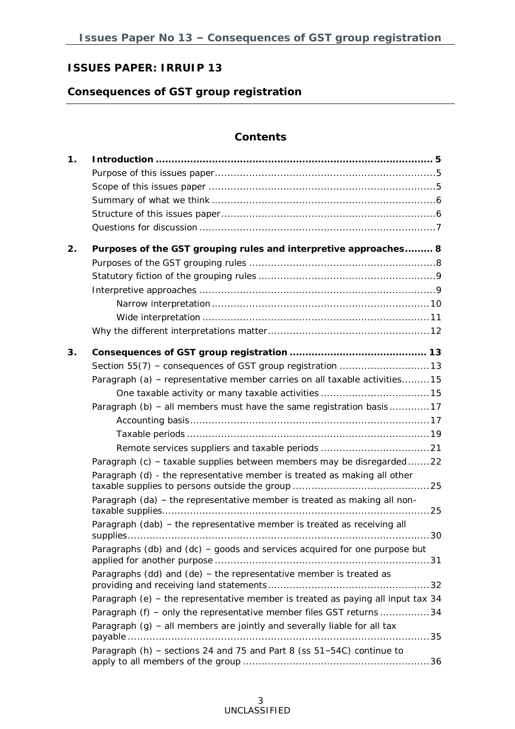## **ISSUES PAPER: IRRUIP 13**

## **Consequences of GST group registration**

### **Contents**

| 1 <sub>1</sub> |                                                                                                                                                                                                                                                                                                                                                                                       |
|----------------|---------------------------------------------------------------------------------------------------------------------------------------------------------------------------------------------------------------------------------------------------------------------------------------------------------------------------------------------------------------------------------------|
| 2.             | Purposes of the GST grouping rules and interpretive approaches 8                                                                                                                                                                                                                                                                                                                      |
| 3.             | Paragraph (a) - representative member carries on all taxable activities15<br>Paragraph (b) - all members must have the same registration basis17<br>Paragraph (c) - taxable supplies between members may be disregarded22<br>Paragraph (d) - the representative member is treated as making all other                                                                                 |
|                | Paragraph (da) - the representative member is treated as making all non-<br>Paragraph (dab) - the representative member is treated as receiving all<br>Paragraphs (db) and (dc) - goods and services acquired for one purpose but                                                                                                                                                     |
|                | Paragraphs (dd) and (de) - the representative member is treated as<br>Paragraph (e) – the representative member is treated as paying all input tax $34$<br>Paragraph (f) - only the representative member files GST returns 34<br>Paragraph $(g)$ – all members are jointly and severally liable for all tax<br>Paragraph (h) - sections 24 and 75 and Part 8 (ss 51-54C) continue to |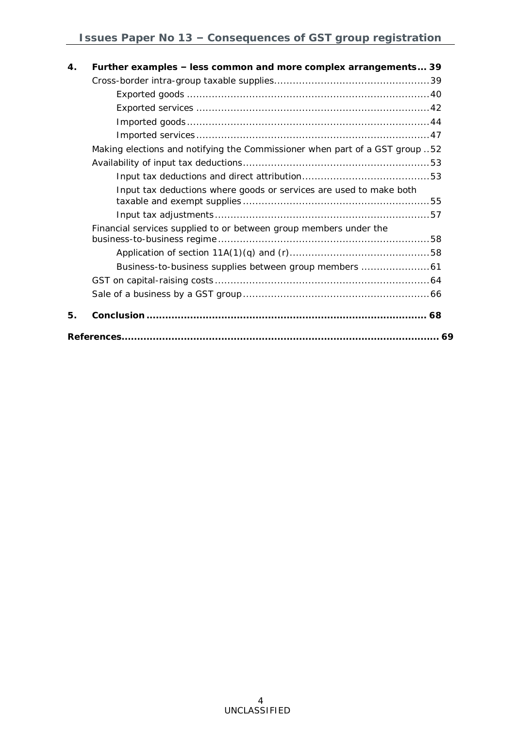| 4. | Further examples – less common and more complex arrangements 39             |
|----|-----------------------------------------------------------------------------|
|    |                                                                             |
|    |                                                                             |
|    |                                                                             |
|    |                                                                             |
|    |                                                                             |
|    | Making elections and notifying the Commissioner when part of a GST group 52 |
|    |                                                                             |
|    |                                                                             |
|    | Input tax deductions where goods or services are used to make both          |
|    |                                                                             |
|    | Financial services supplied to or between group members under the           |
|    |                                                                             |
|    |                                                                             |
|    |                                                                             |
|    |                                                                             |
| 5. |                                                                             |
|    |                                                                             |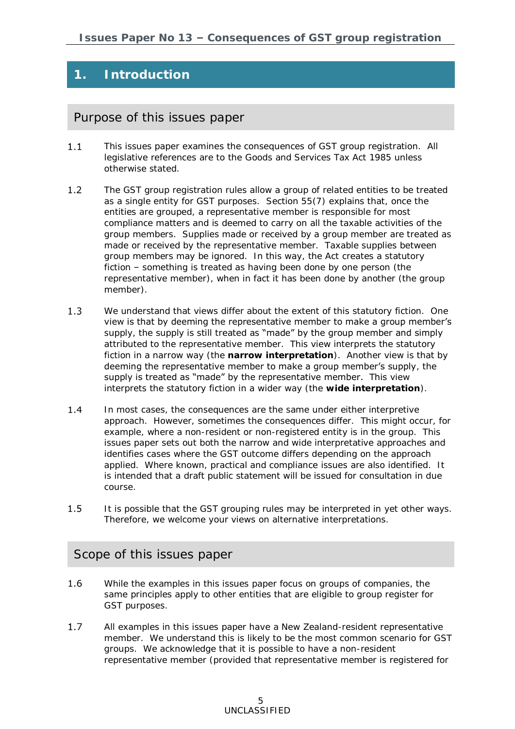## **1. Introduction**

## Purpose of this issues paper

- $1.1$ This issues paper examines the consequences of GST group registration. All legislative references are to the Goods and Services Tax Act 1985 unless otherwise stated.
- $1.2$ The GST group registration rules allow a group of related entities to be treated as a single entity for GST purposes. Section 55(7) explains that, once the entities are grouped, a representative member is responsible for most compliance matters and is deemed to carry on all the taxable activities of the group members. Supplies made or received by a group member are treated as made or received by the representative member. Taxable supplies between group members may be ignored. In this way, the Act creates a statutory fiction – something is treated as having been done by one person (the representative member), when in fact it has been done by another (the group member).
- $1.3$ We understand that views differ about the extent of this statutory fiction. One view is that by deeming the representative member to make a group member's supply, the supply is still treated as "made" by the group member and simply attributed to the representative member. This view interprets the statutory fiction in a narrow way (the **narrow interpretation**). Another view is that by deeming the representative member to make a group member's supply, the supply is treated as "made" by the representative member. This view interprets the statutory fiction in a wider way (the **wide interpretation**).
- $1.4$ In most cases, the consequences are the same under either interpretive approach. However, sometimes the consequences differ. This might occur, for example, where a non-resident or non-registered entity is in the group. This issues paper sets out both the narrow and wide interpretative approaches and identifies cases where the GST outcome differs depending on the approach applied. Where known, practical and compliance issues are also identified. It is intended that a draft public statement will be issued for consultation in due course.
- $1.5$ It is possible that the GST grouping rules may be interpreted in yet other ways. Therefore, we welcome your views on alternative interpretations.

### Scope of this issues paper

- 1.6 While the examples in this issues paper focus on groups of companies, the same principles apply to other entities that are eligible to group register for GST purposes.
- All examples in this issues paper have a New Zealand-resident representative  $1.7$ member. We understand this is likely to be the most common scenario for GST groups. We acknowledge that it is possible to have a non-resident representative member (provided that representative member is registered for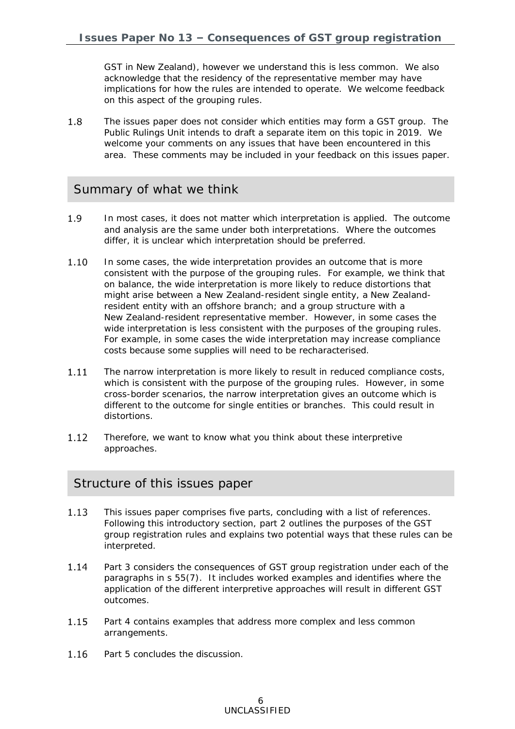GST in New Zealand), however we understand this is less common. We also acknowledge that the residency of the representative member may have implications for how the rules are intended to operate. We welcome feedback on this aspect of the grouping rules.

1.8 The issues paper does not consider which entities may form a GST group. The Public Rulings Unit intends to draft a separate item on this topic in 2019. We welcome your comments on any issues that have been encountered in this area. These comments may be included in your feedback on this issues paper.

## Summary of what we think

- 1.9 In most cases, it does not matter which interpretation is applied. The outcome and analysis are the same under both interpretations. Where the outcomes differ, it is unclear which interpretation should be preferred.
- $1.10$ In some cases, the wide interpretation provides an outcome that is more consistent with the purpose of the grouping rules. For example, we think that on balance, the wide interpretation is more likely to reduce distortions that might arise between a New Zealand-resident single entity, a New Zealandresident entity with an offshore branch; and a group structure with a New Zealand-resident representative member. However, in some cases the wide interpretation is less consistent with the purposes of the grouping rules. For example, in some cases the wide interpretation may increase compliance costs because some supplies will need to be recharacterised.
- 1.11 The narrow interpretation is more likely to result in reduced compliance costs, which is consistent with the purpose of the grouping rules. However, in some cross-border scenarios, the narrow interpretation gives an outcome which is different to the outcome for single entities or branches. This could result in distortions.
- $1.12$ Therefore, we want to know what you think about these interpretive approaches.

## Structure of this issues paper

- 1.13 This issues paper comprises five parts, concluding with a list of references. Following this introductory section, part 2 outlines the purposes of the GST group registration rules and explains two potential ways that these rules can be interpreted.
- 1.14 Part 3 considers the consequences of GST group registration under each of the paragraphs in s 55(7). It includes worked examples and identifies where the application of the different interpretive approaches will result in different GST outcomes.
- 1.15 Part 4 contains examples that address more complex and less common arrangements.
- 1.16 Part 5 concludes the discussion.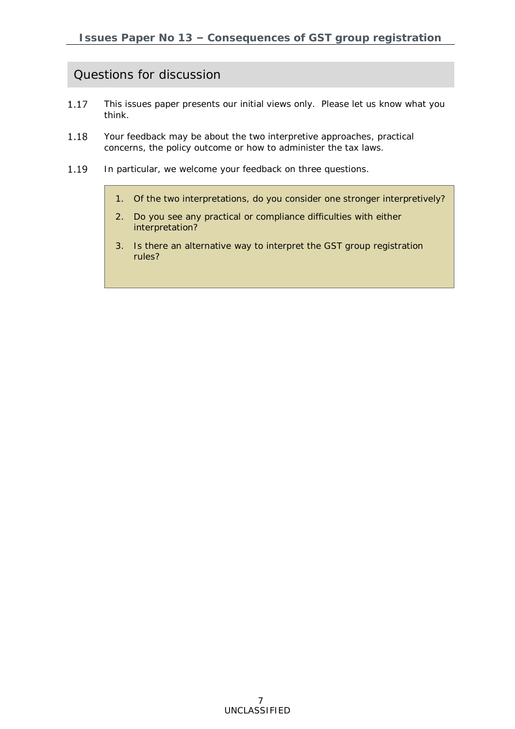## Questions for discussion

- 1.17 This issues paper presents our initial views only. Please let us know what you think.
- 1.18 Your feedback may be about the two interpretive approaches, practical concerns, the policy outcome or how to administer the tax laws.
- 1.19 In particular, we welcome your feedback on three questions.
	- 1. Of the two interpretations, do you consider one stronger interpretively?
	- 2. Do you see any practical or compliance difficulties with either interpretation?
	- 3. Is there an alternative way to interpret the GST group registration rules?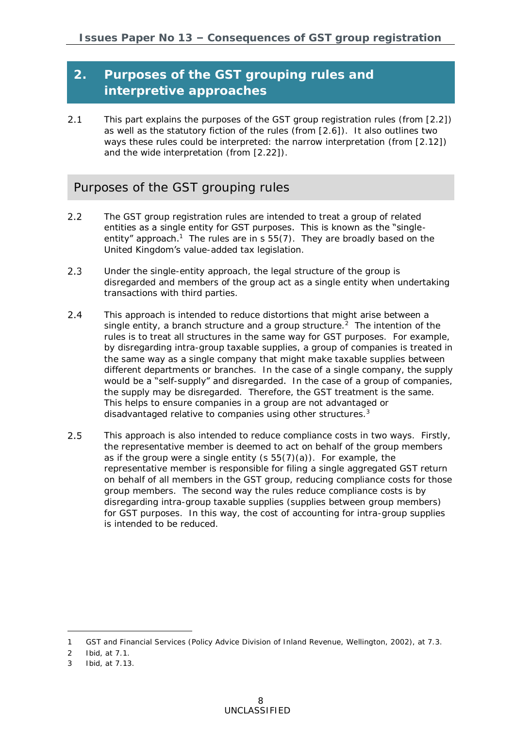## **2. Purposes of the GST grouping rules and interpretive approaches**

 $2.1$ This part explains the purposes of the GST group registration rules (from [\[2.2\]](#page-7-0)) as well as the statutory fiction of the rules (from [\[2.6\]](#page-8-0)). It also outlines two ways these rules could be interpreted: the narrow interpretation (from [\[2.12\]](#page-9-0)) and the wide interpretation (from [\[2.22\]](#page-10-0)).

## Purposes of the GST grouping rules

- <span id="page-7-0"></span> $2.2$ The GST group registration rules are intended to treat a group of related entities as a single entity for GST purposes. This is known as the "singleentity" approach.<sup>1</sup> The rules are in s  $55(7)$ . They are broadly based on the United Kingdom's value-added tax legislation.
- $2.3$ Under the single-entity approach, the legal structure of the group is disregarded and members of the group act as a single entity when undertaking transactions with third parties.
- $2.4$ This approach is intended to reduce distortions that might arise between a single entity, a branch structure and a group structure.<sup>2</sup> The intention of the rules is to treat all structures in the same way for GST purposes. For example, by disregarding intra-group taxable supplies, a group of companies is treated in the same way as a single company that might make taxable supplies between different departments or branches. In the case of a single company, the supply would be a "self-supply" and disregarded. In the case of a group of companies, the supply may be disregarded. Therefore, the GST treatment is the same. This helps to ensure companies in a group are not advantaged or disadvantaged relative to companies using other structures.<sup>3</sup>
- $2.5$ This approach is also intended to reduce compliance costs in two ways. Firstly, the representative member is deemed to act on behalf of the group members as if the group were a single entity (s 55(7)(a)). For example, the representative member is responsible for filing a single aggregated GST return on behalf of all members in the GST group, reducing compliance costs for those group members. The second way the rules reduce compliance costs is by disregarding intra-group taxable supplies (supplies between group members) for GST purposes. In this way, the cost of accounting for intra-group supplies is intended to be reduced.

-

<sup>1</sup> *GST and Financial Services* (Policy Advice Division of Inland Revenue, Wellington, 2002), at 7.3.

<sup>2</sup> Ibid, at 7.1.

<sup>3</sup> Ibid, at 7.13.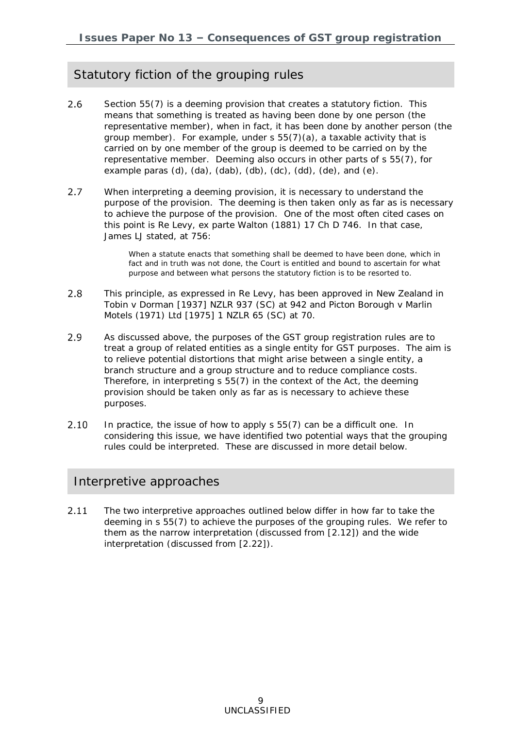## Statutory fiction of the grouping rules

- <span id="page-8-0"></span> $2.6$ Section 55(7) is a deeming provision that creates a statutory fiction. This means that something is treated as having been done by one person (the representative member), when in fact, it has been done by another person (the group member). For example, under s 55(7)(a), a taxable activity that is carried on by one member of the group is deemed to be carried on by the representative member. Deeming also occurs in other parts of s 55(7), for example paras  $(d)$ ,  $(da)$ ,  $(dab)$ ,  $(db)$ ,  $(cd)$ ,  $(de)$ , and  $(e)$ .
- $2.7$ When interpreting a deeming provision, it is necessary to understand the purpose of the provision. The deeming is then taken only as far as is necessary to achieve the purpose of the provision. One of the most often cited cases on this point is *Re Levy, ex parte Walton* (1881) 17 Ch D 746. In that case, James LJ stated, at 756:

When a statute enacts that something shall be deemed to have been done, which in fact and in truth was not done, the Court is entitled and bound to ascertain for what purpose and between what persons the statutory fiction is to be resorted to.

- $2.8$ This principle, as expressed in *Re Levy*, has been approved in New Zealand in *Tobin v Dorman* [1937] NZLR 937 (SC) at 942 and *Picton Borough v Marlin Motels (1971) Ltd* [1975] 1 NZLR 65 (SC) at 70.
- 2.9 As discussed above, the purposes of the GST group registration rules are to treat a group of related entities as a single entity for GST purposes. The aim is to relieve potential distortions that might arise between a single entity, a branch structure and a group structure and to reduce compliance costs. Therefore, in interpreting s 55(7) in the context of the Act, the deeming provision should be taken only as far as is necessary to achieve these purposes.
- $2.10$ In practice, the issue of how to apply s 55(7) can be a difficult one. In considering this issue, we have identified two potential ways that the grouping rules could be interpreted. These are discussed in more detail below.

### Interpretive approaches

 $2.11$ The two interpretive approaches outlined below differ in how far to take the deeming in s 55(7) to achieve the purposes of the grouping rules. We refer to them as the narrow interpretation (discussed from [\[2.12\]](#page-9-0)) and the wide interpretation (discussed from [\[2.22\]](#page-10-0)).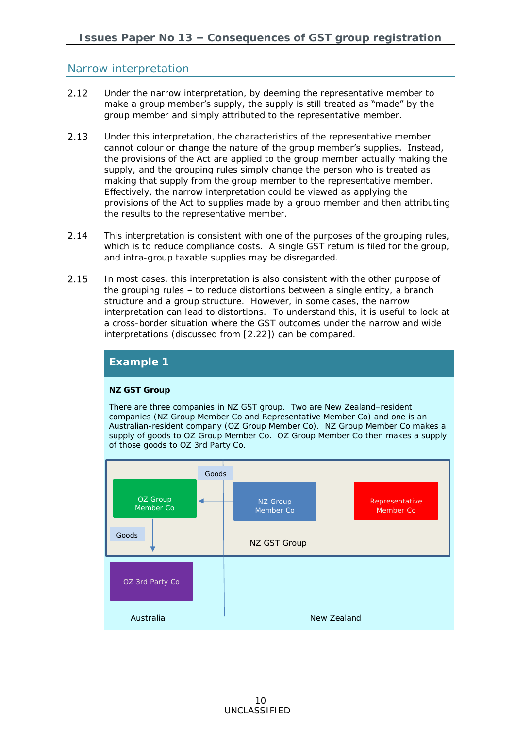### Narrow interpretation

- <span id="page-9-0"></span> $2.12$ Under the narrow interpretation, by deeming the representative member to make a group member's supply, the supply is still treated as "made" by the group member and simply *attributed* to the representative member.
- $2.13$ Under this interpretation, the characteristics of the representative member cannot colour or change the nature of the group member's supplies. Instead, the provisions of the Act are applied to the group member actually making the supply, and the grouping rules simply change the person who is treated as making that supply from the group member to the representative member. Effectively, the narrow interpretation could be viewed as applying the provisions of the Act to supplies made by a group member and then attributing the results to the representative member.
- $2.14$ This interpretation is consistent with one of the purposes of the grouping rules, which is to reduce compliance costs. A single GST return is filed for the group, and intra-group taxable supplies may be disregarded.
- $2.15$ In most cases, this interpretation is also consistent with the other purpose of the grouping rules – to reduce distortions between a single entity, a branch structure and a group structure. However, in some cases, the narrow interpretation can lead to distortions. To understand this, it is useful to look at a cross-border situation where the GST outcomes under the narrow and wide interpretations (discussed from [\[2.22\]](#page-10-0)) can be compared.



### **Example 1**

#### **NZ GST Group**

There are three companies in NZ GST group. Two are New Zealand–resident companies (NZ Group Member Co and Representative Member Co) and one is an Australian-resident company (OZ Group Member Co). NZ Group Member Co makes a supply of goods to OZ Group Member Co.OZ Group Member Co then makes a supply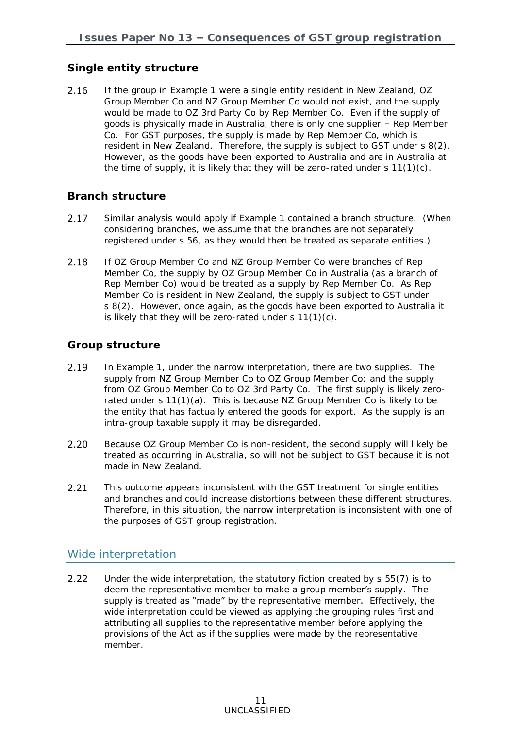### **Single entity structure**

If the group in Example 1 were a single entity resident in New Zealand, OZ 2.16 Group Member Co and NZ Group Member Co would not exist, and the supply would be made to OZ 3rd Party Co by Rep Member Co. Even if the supply of goods is physically made in Australia, there is only one supplier – Rep Member Co. For GST purposes, the supply is made by Rep Member Co, which is resident in New Zealand. Therefore, the supply is subject to GST under s 8(2). However, as the goods have been exported to Australia and are in Australia at the time of supply, it is likely that they will be zero-rated under s 11(1)(c).

### **Branch structure**

- 2.17 Similar analysis would apply if Example 1 contained a branch structure. (When considering branches, we assume that the branches are not separately registered under s 56, as they would then be treated as separate entities.)
- If OZ Group Member Co and NZ Group Member Co were branches of Rep 2.18 Member Co, the supply by OZ Group Member Co in Australia (as a branch of Rep Member Co) would be treated as a supply by Rep Member Co. As Rep Member Co is resident in New Zealand, the supply is subject to GST under s 8(2). However, once again, as the goods have been exported to Australia it is likely that they will be zero-rated under s 11(1)(c).

### **Group structure**

- 2.19 In Example 1, under the narrow interpretation, there are two supplies. The supply from NZ Group Member Co to OZ Group Member Co; and the supply from OZ Group Member Co to OZ 3rd Party Co. The first supply is likely zerorated under s 11(1)(a). This is because NZ Group Member Co is likely to be the entity that has factually entered the goods for export. As the supply is an intra-group taxable supply it may be disregarded.
- $2.20$ Because OZ Group Member Co is non-resident, the second supply will likely be treated as occurring in Australia, so will not be subject to GST because it is not made in New Zealand.
- $2.21$ This outcome appears inconsistent with the GST treatment for single entities and branches and could increase distortions between these different structures. Therefore, in this situation, the narrow interpretation is inconsistent with one of the purposes of GST group registration.

### Wide interpretation

<span id="page-10-0"></span> $2.22$ Under the wide interpretation, the statutory fiction created by s 55(7) is to deem the representative member to make a group member's supply. The supply is treated as "made" by the representative member. Effectively, the wide interpretation could be viewed as applying the grouping rules first and attributing all supplies to the representative member before applying the provisions of the Act as if the supplies were made by the representative member.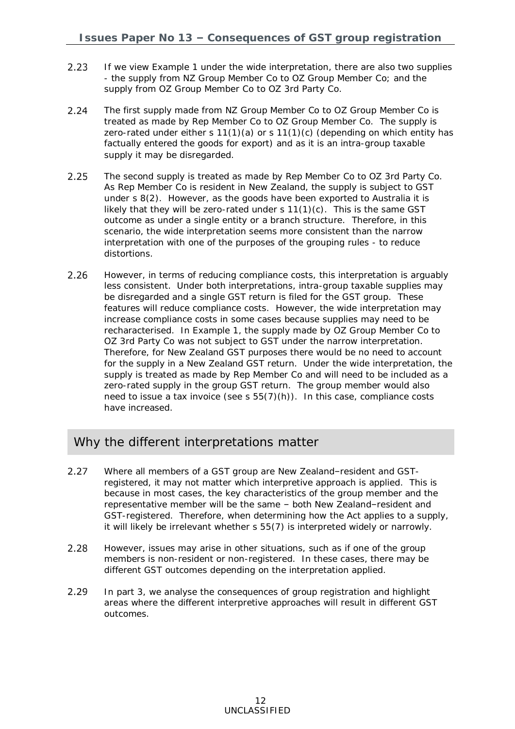- $2.23$ If we view Example 1 under the wide interpretation, there are also two supplies - the supply from NZ Group Member Co to OZ Group Member Co; and the supply from OZ Group Member Co to OZ 3rd Party Co.
- $2.24$ The first supply made from NZ Group Member Co to OZ Group Member Co is treated as made by Rep Member Co to OZ Group Member Co. The supply is zero-rated under either s  $11(1)(a)$  or s  $11(1)(c)$  (depending on which entity has factually entered the goods for export) and as it is an intra-group taxable supply it may be disregarded.
- The second supply is treated as made by Rep Member Co to OZ 3rd Party Co.  $2.25$ As Rep Member Co is resident in New Zealand, the supply is subject to GST under s 8(2). However, as the goods have been exported to Australia it is likely that they will be zero-rated under s  $11(1)(c)$ . This is the same GST outcome as under a single entity or a branch structure. Therefore, in this scenario, the wide interpretation seems more consistent than the narrow interpretation with one of the purposes of the grouping rules - to reduce distortions.
- 2.26 However, in terms of reducing compliance costs, this interpretation is arguably less consistent. Under both interpretations, intra-group taxable supplies may be disregarded and a single GST return is filed for the GST group. These features will reduce compliance costs. However, the wide interpretation may increase compliance costs in some cases because supplies may need to be recharacterised. In Example 1, the supply made by OZ Group Member Co to OZ 3rd Party Co was not subject to GST under the narrow interpretation. Therefore, for New Zealand GST purposes there would be no need to account for the supply in a New Zealand GST return. Under the wide interpretation, the supply is treated as made by Rep Member Co and will need to be included as a zero-rated supply in the group GST return. The group member would also need to issue a tax invoice (see s 55(7)(h)). In this case, compliance costs have increased.

## Why the different interpretations matter

- $2.27$ Where all members of a GST group are New Zealand–resident and GSTregistered, it may not matter which interpretive approach is applied. This is because in most cases, the key characteristics of the group member and the representative member will be the same – both New Zealand–resident and GST-registered. Therefore, when determining how the Act applies to a supply, it will likely be irrelevant whether s 55(7) is interpreted widely or narrowly.
- 2.28 However, issues may arise in other situations, such as if one of the group members is non-resident or non-registered. In these cases, there may be different GST outcomes depending on the interpretation applied.
- 2.29 In part 3, we analyse the consequences of group registration and highlight areas where the different interpretive approaches will result in different GST outcomes.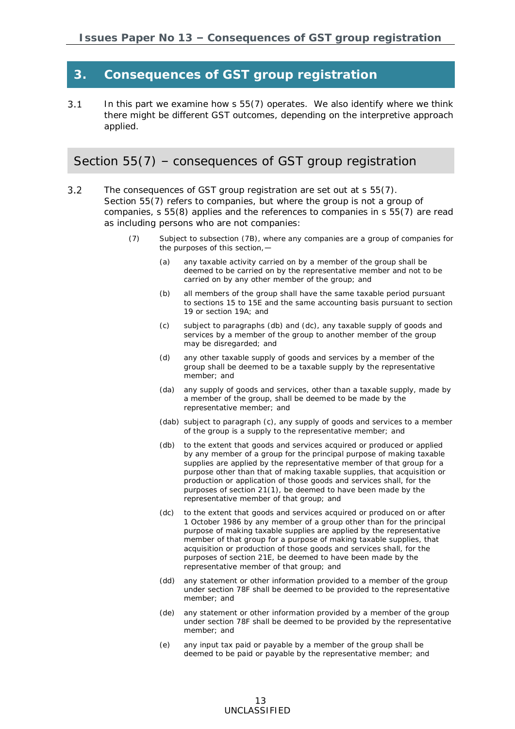## **3. Consequences of GST group registration**

 $3.1$ In this part we examine how s 55(7) operates. We also identify where we think there might be different GST outcomes, depending on the interpretive approach applied.

### Section 55(7) – consequences of GST group registration

- $3.2$ The consequences of GST group registration are set out at s 55(7). Section 55(7) refers to companies, but where the group is not a group of companies, s 55(8) applies and the references to companies in s 55(7) are read as including persons who are not companies:
	- (7) Subject to subsection [\(7B\),](javascript:void(0)) where any companies are a group of companies for the purposes of this section,—
		- (a) any taxable activity carried on by a [member](javascript:void(0)) of the group shall be deemed to be carried on by the representative [member](javascript:void(0)) and not to be carried on by any other [member](javascript:void(0)) of the group; and
		- (b) all members of the group shall have the same [taxable period](javascript:void(0)) pursuant to sections [15](javascript:void(0)) to [15E](javascript:void(0)) and the same accounting basis pursuant to section [19](javascript:void(0)) or section [19A;](javascript:void(0)) and
		- (c) subject to paragraphs [\(db\)](javascript:void(0)) and [\(dc\),](javascript:void(0)) any [taxable supply](javascript:void(0)) of [goods](javascript:void(0)) and [services](javascript:void(0)) by a [member](javascript:void(0)) of the group to another [member](javascript:void(0)) of the group may be disregarded; and
		- (d) any other [taxable supply](javascript:void(0)) of [goods](javascript:void(0)) and [services](javascript:void(0)) by a [member](javascript:void(0)) of the group shall be deemed to be a [taxable supply](javascript:void(0)) by the representative [member;](javascript:void(0)) and
		- (da) any supply of [goods](javascript:void(0)) and [services,](javascript:void(0)) other than a [taxable supply,](javascript:void(0)) made by a [member](javascript:void(0)) of the group, shall be deemed to be made by the representative [member;](javascript:void(0)) and
		- (dab) subject to paragraph (c), any supply of [goods](javascript:void(0)) and [services](javascript:void(0)) to a [member](javascript:void(0)) of the group is a supply to the representative [member;](javascript:void(0)) and
		- (db) to the extent that [goods](javascript:void(0)) and [services](javascript:void(0)) acquired or produced or applied by any [member](javascript:void(0)) of a group for the principal purpose of making taxable supplies are applied by the representative [member](javascript:void(0)) of that group for a purpose other than that of making taxable supplies, that acquisition or production or application of those [goods](javascript:void(0)) and [services](javascript:void(0)) shall, for the purposes of section [21\(1\),](javascript:void(0)) be deemed to have been made by the representative [member](javascript:void(0)) of that group; and
		- (dc) to the extent that [goods](javascript:void(0)) and [services](javascript:void(0)) acquired or produced on or after 1 October 1986 by any [member](javascript:void(0)) of a group other than for the principal purpose of making taxable supplies are applied by the representative [member](javascript:void(0)) of that group for a purpose of making taxable supplies, that acquisition or production of those [goods](javascript:void(0)) and [services](javascript:void(0)) shall, for the purposes of section [21E,](javascript:void(0)) be deemed to have been made by the representative [member](javascript:void(0)) of that group; and
		- (dd) any statement or other information provided to a [member](javascript:void(0)) of the group under section [78F](javascript:void(0)) shall be deemed to be provided to the representative [member;](javascript:void(0)) and
		- (de) any statement or other information provided by a [member](javascript:void(0)) of the group under section [78F](javascript:void(0)) shall be deemed to be provided by the representative [member;](javascript:void(0)) and
		- (e) any [input tax](javascript:void(0)) paid or payable by a [member](javascript:void(0)) of the group shall be deemed to be paid or payable by the representative [member;](javascript:void(0)) and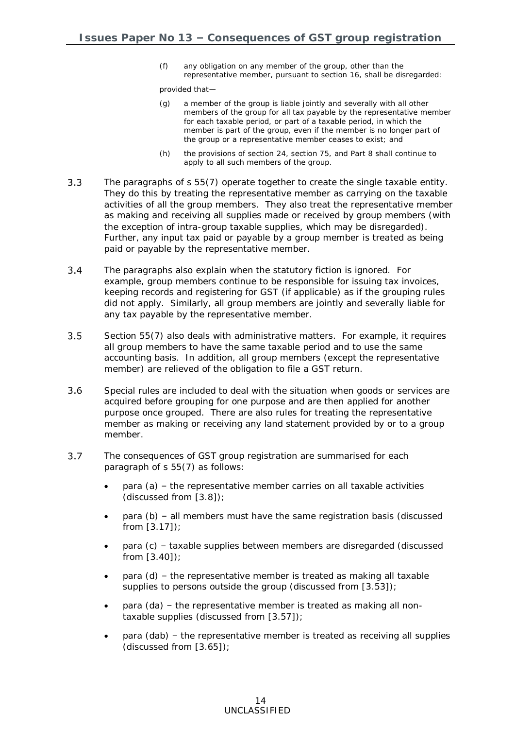(f) any obligation on any [member](javascript:void(0)) of the group, other than the representative [member,](javascript:void(0)) pursuant to section [16,](javascript:void(0)) shall be disregarded:

provided that—

- (g) a member of the group is liable jointly and severally with all other members of the group for all tax payable by the representative member for each taxable period, or part of a taxable period, in which the member is part of the group, even if the member is no longer part of the group or a representative member ceases to exist; and
- (h) the provisions of section [24,](javascript:void(0)) section [75,](javascript:void(0)) and Part [8](javascript:void(0)) shall continue to [apply](javascript:void(0)) to all such members of the group.
- $3.3$ The paragraphs of s 55(7) operate together to create the single taxable entity. They do this by treating the representative member as carrying on the taxable activities of all the group members. They also treat the representative member as making and receiving all supplies made or received by group members (with the exception of intra-group taxable supplies, which may be disregarded). Further, any input tax paid or payable by a group member is treated as being paid or payable by the representative member.
- $3.4$ The paragraphs also explain when the statutory fiction is ignored. For example, group members continue to be responsible for issuing tax invoices, keeping records and registering for GST (if applicable) as if the grouping rules did not apply. Similarly, all group members are jointly and severally liable for any tax payable by the representative member.
- $3.5$ Section 55(7) also deals with administrative matters. For example, it requires all group members to have the same taxable period and to use the same accounting basis. In addition, all group members (except the representative member) are relieved of the obligation to file a GST return.
- $3.6$ Special rules are included to deal with the situation when goods or services are acquired before grouping for one purpose and are then applied for another purpose once grouped. There are also rules for treating the representative member as making or receiving any land statement provided by or to a group member.
- $3.7$ The consequences of GST group registration are summarised for each paragraph of s 55(7) as follows:
	- para (a) the representative member carries on all taxable activities (discussed from [\[3.8\]](#page-14-0));
	- para (b) all members must have the same registration basis (discussed from [\[3.17\]](#page-16-0));
	- para (c) taxable supplies between members are disregarded (discussed from [\[3.40\]](#page-21-0));
	- para (d) the representative member is treated as making all taxable supplies to persons outside the group (discussed from [\[3.53\]](#page-24-0));
	- para (da) the representative member is treated as making all nontaxable supplies (discussed from [\[3.57\]](#page-24-1));
	- para (dab) the representative member is treated as receiving all supplies (discussed from [\[3.65\]](#page-29-0));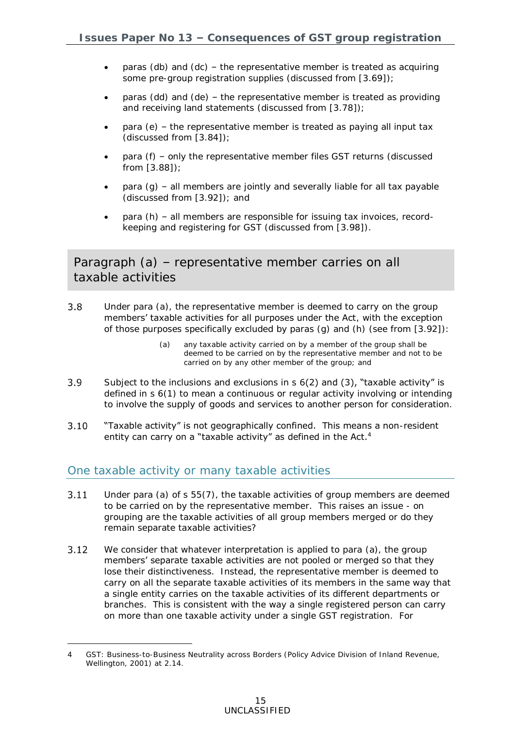- paras (db) and (dc) the representative member is treated as acquiring some pre-group registration supplies (discussed from [\[3.69\]](#page-30-0));
- paras (dd) and (de) the representative member is treated as providing and receiving land statements (discussed from [\[3.78\]](#page-31-0));
- para (e) the representative member is treated as paying all input tax (discussed from [\[3.84\]](#page-33-0));
- para (f) only the representative member files GST returns (discussed from [\[3.88\]](#page-33-1));
- para (g) all members are jointly and severally liable for all tax payable (discussed from [\[3.92\]](#page-34-0)); and
- para (h) all members are responsible for issuing tax invoices, recordkeeping and registering for GST (discussed from [\[3.98\]](#page-35-0)).

Paragraph (a) – representative member carries on all taxable activities

- <span id="page-14-0"></span> $3.8$ Under para (a), the representative member is deemed to carry on the group members' taxable activities for all purposes under the Act, with the exception of those purposes specifically excluded by paras (g) and (h) (see from [\[3.92\]](#page-34-0)):
	- (a) any taxable activity carried on by a member of the group shall be deemed to be carried on by the representative member and not to be carried on by any other member of the group; and
- $3.9$ Subject to the inclusions and exclusions in  $s$  6(2) and (3), "taxable activity" is defined in s 6(1) to mean a continuous or regular activity involving or intending to involve the supply of goods and services to another person for consideration.

#### $3.10$ "Taxable activity" is not geographically confined. This means a non-resident entity can carry on a "taxable activity" as defined in the Act. $4$

### One taxable activity or many taxable activities

-

- $3.11$ Under para (a) of s 55(7), the taxable activities of group members are deemed to be carried on by the representative member. This raises an issue - on grouping are the taxable activities of all group members merged or do they remain separate taxable activities?
- $3.12$ We consider that whatever interpretation is applied to para (a), the group members' separate taxable activities are not pooled or merged so that they lose their distinctiveness. Instead, the representative member is deemed to carry on all the separate taxable activities of its members in the same way that a single entity carries on the taxable activities of its different departments or branches. This is consistent with the way a single registered person can carry on more than one taxable activity under a single GST registration. For

<sup>4</sup> *GST: Business-to-Business Neutrality across Borders* (Policy Advice Division of Inland Revenue, Wellington, 2001) at 2.14.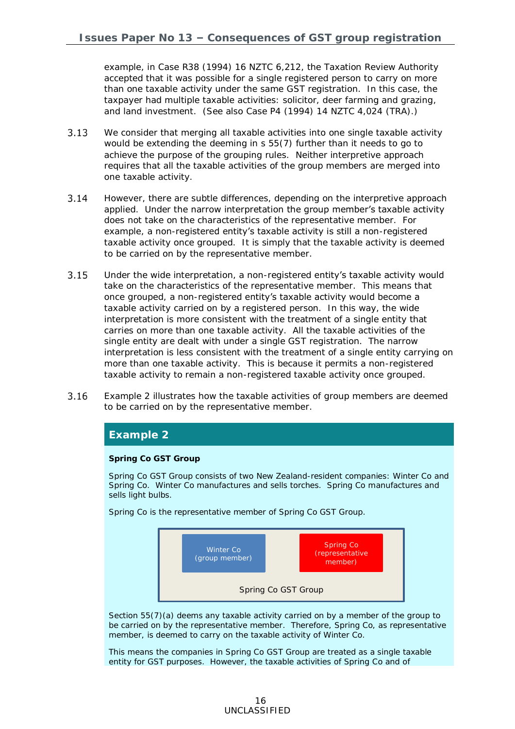example, in *Case R38* (1994) 16 NZTC 6,212, the Taxation Review Authority accepted that it was possible for a single registered person to carry on more than one taxable activity under the same GST registration. In this case, the taxpayer had multiple taxable activities: solicitor, deer farming and grazing, and land investment. (See also *Case P4* (1994) 14 NZTC 4,024 (TRA).)

- $3.13$ We consider that merging all taxable activities into one single taxable activity would be extending the deeming in s 55(7) further than it needs to go to achieve the purpose of the grouping rules. Neither interpretive approach requires that all the taxable activities of the group members are merged into one taxable activity.
- $3.14$ However, there are subtle differences, depending on the interpretive approach applied. Under the narrow interpretation the group member's taxable activity does not take on the characteristics of the representative member. For example, a non-registered entity's taxable activity is still a non-registered taxable activity once grouped. It is simply that the taxable activity is deemed to be carried on by the representative member.
- <span id="page-15-0"></span> $3.15$ Under the wide interpretation, a non-registered entity's taxable activity would take on the characteristics of the representative member. This means that once grouped, a non-registered entity's taxable activity would become a taxable activity carried on by a registered person. In this way, the wide interpretation is more consistent with the treatment of a single entity that carries on more than one taxable activity. All the taxable activities of the single entity are dealt with under a single GST registration. The narrow interpretation is less consistent with the treatment of a single entity carrying on more than one taxable activity. This is because it permits a non-registered taxable activity to remain a non-registered taxable activity once grouped.
- $3.16$ Example 2 illustrates how the taxable activities of group members are deemed to be carried on by the representative member.

### **Example 2**

#### **Spring Co GST Group**

Spring Co GST Group consists of two New Zealand-resident companies: Winter Co and Spring Co. Winter Co manufactures and sells torches. Spring Co manufactures and sells light bulbs.

Spring Co is the representative member of Spring Co GST Group.



Section 55(7)(a) deems any taxable activity carried on by a member of the group to be carried on by the representative member. Therefore, Spring Co, as representative member, is deemed to carry on the taxable activity of Winter Co.

This means the companies in Spring Co GST Group are treated as a single taxable entity for GST purposes. However, the taxable activities of Spring Co and of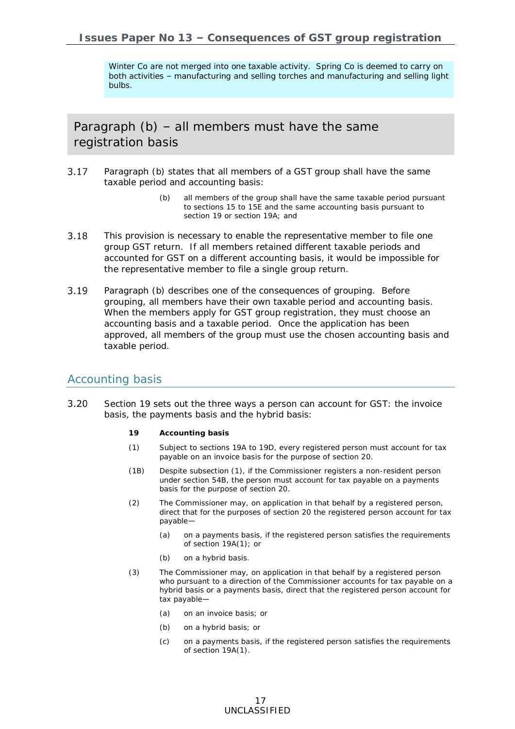Winter Co are not merged into one taxable activity. Spring Co is deemed to carry on both activities – manufacturing and selling torches and manufacturing and selling light bulbs.

Paragraph (b) – all members must have the same registration basis

- <span id="page-16-0"></span> $3.17$ Paragraph (b) states that all members of a GST group shall have the same taxable period and accounting basis:
	- (b) all members of the group shall have the same [taxable period](javascript:void(0)) pursuant to sections [15](javascript:void(0)) to [15E](javascript:void(0)) and the same accounting basis pursuant to section [19](javascript:void(0)) or section [19A;](javascript:void(0)) and
- 3.18 This provision is necessary to enable the representative member to file one group GST return. If all members retained different taxable periods and accounted for GST on a different accounting basis, it would be impossible for the representative member to file a single group return.
- $3.19$ Paragraph (b) describes one of the consequences of grouping. Before grouping, all members have their own taxable period and accounting basis. When the members apply for GST group registration, they must choose an accounting basis and a taxable period. Once the application has been approved, all members of the group must use the chosen accounting basis and taxable period.

### Accounting basis

- $3.20$ Section 19 sets out the three ways a person can account for GST: the invoice basis, the payments basis and the hybrid basis:
	- **19 Accounting basis**
	- (1) Subject to [sections 19A to 19D,](http://legislation.govt.nz/act/public/1985/0141/latest/link.aspx?id=DLM83449#DLM83449) every registered person must account for tax payable on an invoice basis for the purpose of [section 20.](http://legislation.govt.nz/act/public/1985/0141/latest/link.aspx?id=DLM83479#DLM83479)
	- (1B) Despite subsection (1), if the Commissioner registers a non-resident person under [section 54B,](http://legislation.govt.nz/act/public/1985/0141/latest/link.aspx?id=DLM6032729#DLM6032729) the person must account for tax payable on a payments basis for the purpose of [section 20.](http://legislation.govt.nz/act/public/1985/0141/latest/link.aspx?id=DLM83479#DLM83479)
	- (2) The Commissioner may, on application in that behalf by a registered person, direct that for the purposes of [section 20](http://legislation.govt.nz/act/public/1985/0141/latest/link.aspx?id=DLM83479#DLM83479) the registered person account for tax payable—
		- (a) on a payments basis, if the registered person satisfies the requirements of [section 19A\(1\);](http://legislation.govt.nz/act/public/1985/0141/latest/link.aspx?id=DLM83449#DLM83449) or
		- (b) on a hybrid basis.
	- (3) The Commissioner may, on application in that behalf by a registered person who pursuant to a direction of the Commissioner accounts for tax payable on a hybrid basis or a payments basis, direct that the registered person account for tax payable—
		- (a) on an invoice basis; or
		- (b) on a hybrid basis; or
		- (c) on a payments basis, if the registered person satisfies the requirements of [section 19A\(1\).](http://legislation.govt.nz/act/public/1985/0141/latest/link.aspx?id=DLM83449#DLM83449)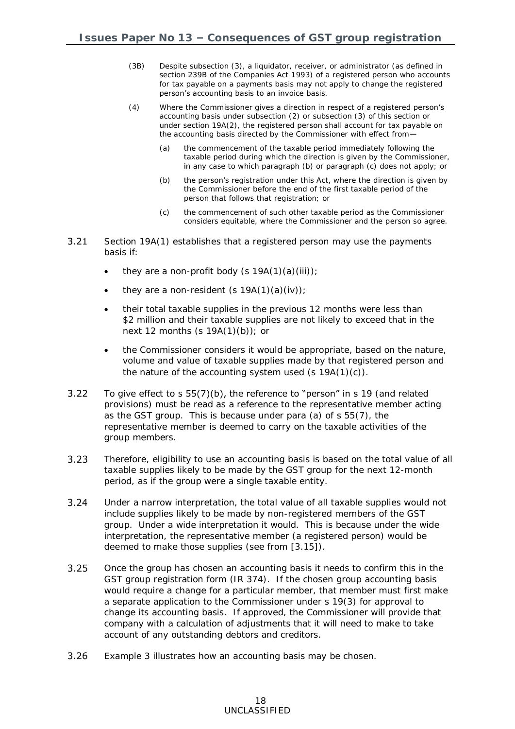- (3B) Despite subsection (3), a liquidator, receiver, or administrator (as defined in [section 239B](http://legislation.govt.nz/act/public/1985/0141/latest/link.aspx?id=DLM321194#DLM321194) of the Companies Act 1993) of a registered person who accounts for tax payable on a payments basis may not apply to change the registered person's accounting basis to an invoice basis.
- (4) Where the Commissioner gives a direction in respect of a registered person's accounting basis under subsection (2) or subsection (3) of this section or under [section 19A\(2\),](http://legislation.govt.nz/act/public/1985/0141/latest/link.aspx?id=DLM83449#DLM83449) the registered person shall account for tax payable on the accounting basis directed by the Commissioner with effect from—
	- (a) the commencement of the taxable period immediately following the taxable period during which the direction is given by the Commissioner, in any case to which paragraph (b) or paragraph (c) does not apply; or
	- (b) the person's registration under this Act, where the direction is given by the Commissioner before the end of the first taxable period of the person that follows that registration; or
	- (c) the commencement of such other taxable period as the Commissioner considers equitable, where the Commissioner and the person so agree.
- $3.21$ Section 19A(1) establishes that a registered person may use the payments basis if:
	- they are a non-profit body  $(s 19A(1)(a)(iii))$ ;
	- they are a non-resident  $(s 19A(1)(a)(iv))$ ;
	- their total taxable supplies in the previous 12 months were less than \$2 million and their taxable supplies are not likely to exceed that in the next 12 months (s 19A(1)(b)); or
	- the Commissioner considers it would be appropriate, based on the nature, volume and value of taxable supplies made by that registered person and the nature of the accounting system used  $(s 19A(1)(c))$ .
- $3.22$ To give effect to s 55(7)(b), the reference to "person" in s 19 (and related provisions) must be read as a reference to the representative member acting as the GST group. This is because under para (a) of s 55(7), the representative member is deemed to carry on the taxable activities of the group members.
- $3.23$ Therefore, eligibility to use an accounting basis is based on the total value of all taxable supplies likely to be made by the GST group for the next 12-month period, as if the group were a single taxable entity.
- $3.24$ Under a narrow interpretation, the total value of all taxable supplies would not include supplies likely to be made by non-registered members of the GST group. Under a wide interpretation it would. This is because under the wide interpretation, the representative member (a registered person) would be deemed to make those supplies (see from [\[3.15\]](#page-15-0)).
- $3.25$ Once the group has chosen an accounting basis it needs to confirm this in the GST group registration form (IR 374). If the chosen group accounting basis would require a change for a particular member, that member must first make a separate application to the Commissioner under s 19(3) for approval to change its accounting basis. If approved, the Commissioner will provide that company with a calculation of adjustments that it will need to make to take account of any outstanding debtors and creditors.
- $3.26$ Example 3 illustrates how an accounting basis may be chosen.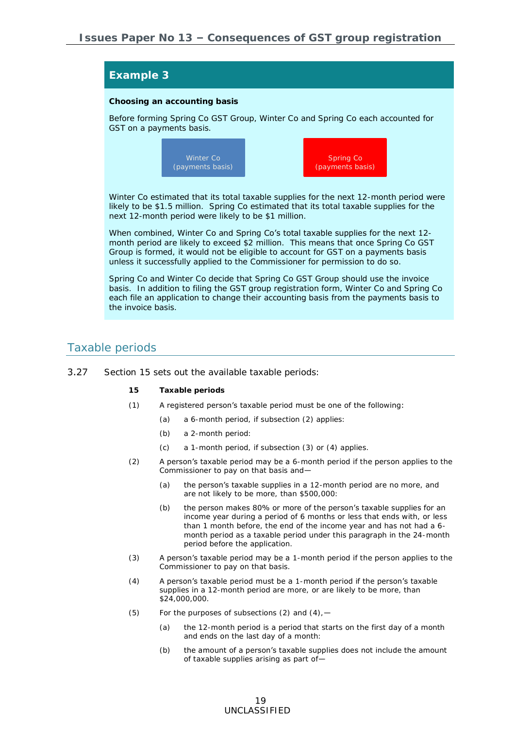## **Example 3 Choosing an accounting basis** Before forming Spring Co GST Group, Winter Co and Spring Co each accounted for GST on a payments basis. Winter Co estimated that its total taxable supplies for the next 12-month period were likely to be \$1.5 million. Spring Co estimated that its total taxable supplies for the next 12-month period were likely to be \$1 million. When combined, Winter Co and Spring Co's total taxable supplies for the next 12month period are likely to exceed \$2 million. This means that once Spring Co GST Group is formed, it would not be eligible to account for GST on a payments basis unless it successfully applied to the Commissioner for permission to do so. Spring Co and Winter Co decide that Spring Co GST Group should use the invoice Winter Co Spring Co (payments basis)

basis. In addition to filing the GST group registration form, Winter Co and Spring Co each file an application to change their accounting basis from the payments basis to the invoice basis.

### Taxable periods

- 3.27 Section 15 sets out the available taxable periods:
	- **15 Taxable periods**
	- (1) A registered person's taxable period must be one of the following:
		- (a) a 6-month period, if subsection (2) applies:
		- (b) a 2-month period:
		- (c) a 1-month period, if subsection (3) or (4) applies.
	- (2) A person's taxable period may be a 6-month period if the person applies to the Commissioner to pay on that basis and—
		- (a) the person's taxable supplies in a 12-month period are no more, and are not likely to be more, than \$500,000:
		- (b) the person makes 80% or more of the person's taxable supplies for an income year during a period of 6 months or less that ends with, or less than 1 month before, the end of the income year and has not had a 6 month period as a taxable period under this paragraph in the 24-month period before the application.
	- (3) A person's taxable period may be a 1-month period if the person applies to the Commissioner to pay on that basis.
	- (4) A person's taxable period must be a 1-month period if the person's taxable supplies in a 12-month period are more, or are likely to be more, than \$24,000,000.
	- (5) For the purposes of subsections (2) and  $(4)$ ,  $-$ 
		- (a) the 12-month period is a period that starts on the first day of a month and ends on the last day of a month:
		- (b) the amount of a person's taxable supplies does not include the amount of taxable supplies arising as part of—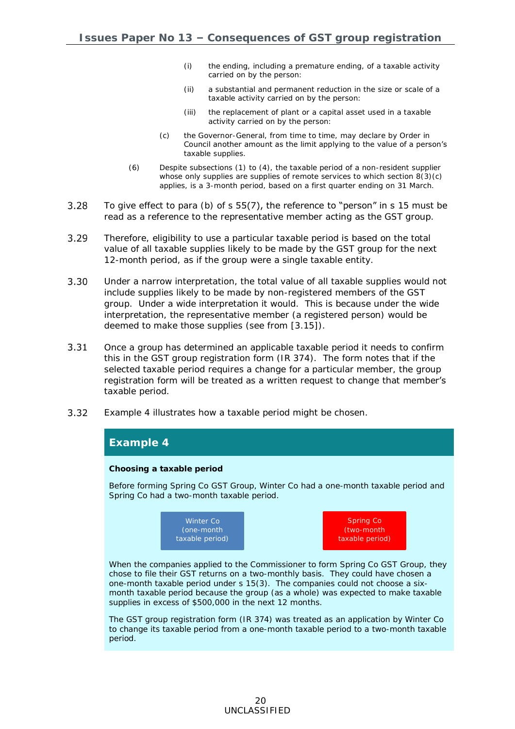- (i) the ending, including a premature ending, of a taxable activity carried on by the person:
- (ii) a substantial and permanent reduction in the size or scale of a taxable activity carried on by the person:
- (iii) the replacement of plant or a capital asset used in a taxable activity carried on by the person:
- (c) the Governor-General, from time to time, may declare by Order in Council another amount as the limit applying to the value of a person's taxable supplies.
- (6) Despite subsections (1) to (4), the taxable period of a non-resident supplier whose only supplies are supplies of remote services to which [section 8\(3\)\(c\)](http://www.legislation.govt.nz/act/public/1985/0141/latest/link.aspx?search=qs_act%40bill%40regulation%40deemedreg_goods+and+services+tax_resel_25_h&p=1&id=DLM82299#DLM82299) applies, is a 3-month period, based on a first quarter ending on 31 March.
- 3.28 To give effect to para (b) of s 55(7), the reference to "person" in s 15 must be read as a reference to the representative member acting as the GST group.
- $3.29$ Therefore, eligibility to use a particular taxable period is based on the total value of all taxable supplies likely to be made by the GST group for the next 12-month period, as if the group were a single taxable entity.
- $3.30$ Under a narrow interpretation, the total value of all taxable supplies would not include supplies likely to be made by non-registered members of the GST group. Under a wide interpretation it would. This is because under the wide interpretation, the representative member (a registered person) would be deemed to make those supplies (see from [\[3.15\]](#page-15-0)).
- $3.31$ Once a group has determined an applicable taxable period it needs to confirm this in the GST group registration form (IR 374). The form notes that if the selected taxable period requires a change for a particular member, the group registration form will be treated as a written request to change that member's taxable period.
- $3.32$ Example 4 illustrates how a taxable period might be chosen.

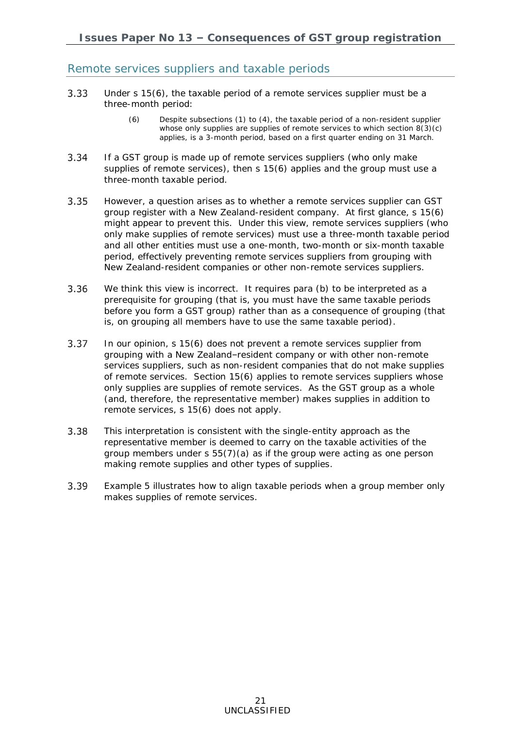### Remote services suppliers and taxable periods

- 3.33 Under s 15(6), the taxable period of a remote services supplier must be a three-month period:
	- (6) Despite subsections (1) to (4), the taxable period of a non-resident supplier whose only supplies are supplies of remote services to which [section 8\(3\)\(c\)](http://www.legislation.govt.nz/act/public/1985/0141/latest/link.aspx?search=qs_act%40bill%40regulation%40deemedreg_goods+and+services+tax_resel_25_h&p=1&id=DLM82299#DLM82299) applies, is a 3-month period, based on a first quarter ending on 31 March.
- 3.34 If a GST group is made up of remote services suppliers (who only make supplies of remote services), then s 15(6) applies and the group must use a three-month taxable period.
- $3.35$ However, a question arises as to whether a remote services supplier can GST group register with a New Zealand-resident company. At first glance, s 15(6) might appear to prevent this. Under this view, remote services suppliers (who only make supplies of remote services) must use a three-month taxable period and all other entities must use a one-month, two-month or six-month taxable period, effectively preventing remote services suppliers from grouping with New Zealand-resident companies or other non-remote services suppliers.
- 3.36 We think this view is incorrect. It requires para (b) to be interpreted as a prerequisite for grouping (that is, you must have the same taxable periods before you form a GST group) rather than as a consequence of grouping (that is, on grouping all members have to use the same taxable period).
- 3.37 In our opinion, s 15(6) does not prevent a remote services supplier from grouping with a New Zealand–resident company or with other non-remote services suppliers, such as non-resident companies that do not make supplies of remote services. Section 15(6) applies to remote services suppliers whose *only* supplies are supplies of remote services. As the GST group as a whole (and, therefore, the representative member) makes supplies in addition to remote services, s 15(6) does not apply.
- 3.38 This interpretation is consistent with the single-entity approach as the representative member is deemed to carry on the taxable activities of the group members under s 55(7)(a) as if the group were acting as one person making remote supplies and other types of supplies.
- 3.39 Example 5 illustrates how to align taxable periods when a group member only makes supplies of remote services.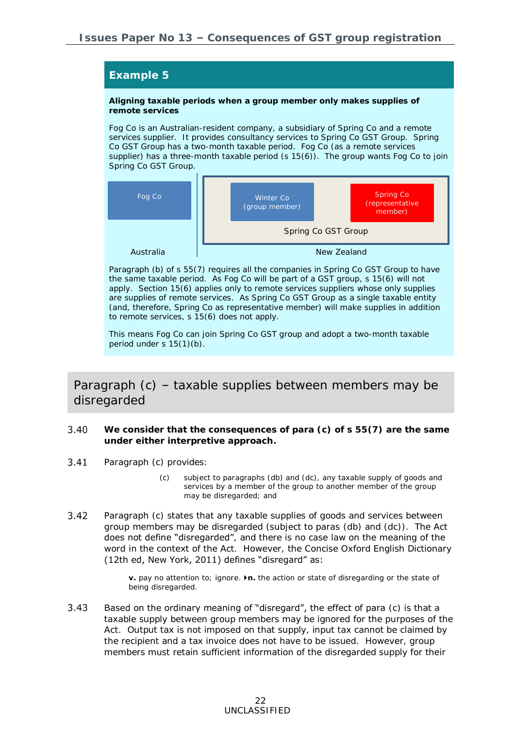**Aligning taxable periods when a group member only makes supplies of remote services**

Fog Co is an Australian-resident company, a subsidiary of Spring Co and a remote services supplier. It provides consultancy services to Spring Co GST Group. Spring Co GST Group has a two-month taxable period. Fog Co (as a remote services supplier) has a three-month taxable period  $(s 15(6))$ . The group wants Fog Co to join Spring Co GST Group.



Paragraph (b) of s 55(7) requires all the companies in Spring Co GST Group to have the same taxable period. As Fog Co will be part of a GST group, s 15(6) will not apply. Section 15(6) applies only to remote services suppliers *whose only supplies are supplies of remote services*. As Spring Co GST Group as a single taxable entity (and, therefore, Spring Co as representative member) will make supplies in addition to remote services, s 15(6) does not apply.

This means Fog Co can join Spring Co GST group and adopt a two-month taxable period under s 15(1)(b).

## Paragraph (c) – taxable supplies between members may be disregarded

- <span id="page-21-0"></span>3.40 **We consider that the consequences of para (c) of s 55(7) are the same under either interpretive approach.**
- $3.41$ Paragraph (c) provides:
	- (c) subject to paragraphs [\(db\)](javascript:void(0)) and [\(dc\),](javascript:void(0)) any [taxable supply](javascript:void(0)) of [goods](javascript:void(0)) and [services](javascript:void(0)) by a [member](javascript:void(0)) of the group to another [member](javascript:void(0)) of the group may be disregarded; and
- $3.42$ Paragraph (c) states that any taxable supplies of goods and services between group members may be disregarded (subject to paras (db) and (dc)). The Act does not define "disregarded", and there is no case law on the meaning of the word in the context of the Act. However, the *Concise Oxford English Dictionary*  (12th ed, New York, 2011) defines "disregard" as:

**v.** pay no attention to; ignore. ▶n. the action or state of disregarding or the state of being disregarded.

 $3.43$ Based on the ordinary meaning of "disregard", the effect of para (c) is that a taxable supply between group members may be ignored for the purposes of the Act. Output tax is not imposed on that supply, input tax cannot be claimed by the recipient and a tax invoice does not have to be issued. However, group members must retain sufficient information of the disregarded supply for their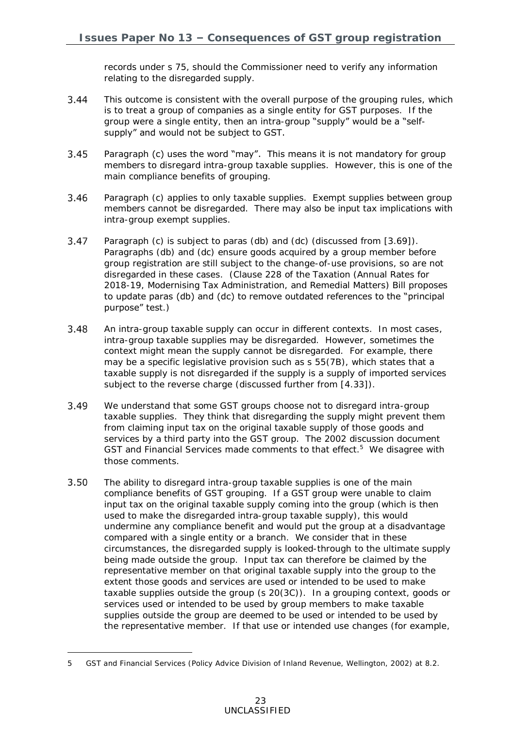records under s 75, should the Commissioner need to verify any information relating to the disregarded supply.

- $3.44$ This outcome is consistent with the overall purpose of the grouping rules, which is to treat a group of companies as a single entity for GST purposes. If the group were a single entity, then an intra-group "supply" would be a "selfsupply" and would not be subject to GST.
- $3.45$ Paragraph (c) uses the word "may". This means it is not mandatory for group members to disregard intra-group taxable supplies. However, this is one of the main compliance benefits of grouping.
- Paragraph (c) applies to only taxable supplies. Exempt supplies between group 3.46 members cannot be disregarded. There may also be input tax implications with intra-group exempt supplies.
- 3.47 Paragraph (c) is subject to paras (db) and (dc) (discussed from [\[3.69\]](#page-30-0)). Paragraphs (db) and (dc) ensure goods acquired by a group member before group registration are still subject to the change-of-use provisions, so are not disregarded in these cases. (Clause 228 of the Taxation (Annual Rates for 2018-19, Modernising Tax Administration, and Remedial Matters) Bill proposes to update paras (db) and (dc) to remove outdated references to the "principal purpose" test.)
- 3.48 An intra-group taxable supply can occur in different contexts. In most cases, intra-group taxable supplies may be disregarded. However, sometimes the context might mean the supply cannot be disregarded. For example, there may be a specific legislative provision such as s 55(7B), which states that a taxable supply is not disregarded if the supply is a supply of imported services subject to the reverse charge (discussed further from [\[4.33\]](#page-47-0)).
- 3.49 We understand that some GST groups choose not to disregard intra-group taxable supplies. They think that disregarding the supply might prevent them from claiming input tax on the original taxable supply of those goods and services by a third party into the GST group. The 2002 discussion document GST and Financial Services made comments to that effect.<sup>5</sup> We disagree with those comments.
- 3.50 The ability to disregard intra-group taxable supplies is one of the main compliance benefits of GST grouping. If a GST group were unable to claim input tax on the original taxable supply coming into the group (which is then used to make the disregarded intra-group taxable supply), this would undermine any compliance benefit and would put the group at a disadvantage compared with a single entity or a branch. We consider that in these circumstances, the disregarded supply is looked-through to the ultimate supply being made outside the group. Input tax can therefore be claimed by the representative member on that original taxable supply into the group to the extent those goods and services are used or intended to be used to make taxable supplies outside the group (s 20(3C)). In a grouping context, goods or services used or intended to be used by group members to make taxable supplies outside the group are deemed to be used or intended to be used by the representative member. If that use or intended use changes (for example,

-

<sup>5</sup> *GST and Financial Services* (Policy Advice Division of Inland Revenue, Wellington, 2002) at 8.2.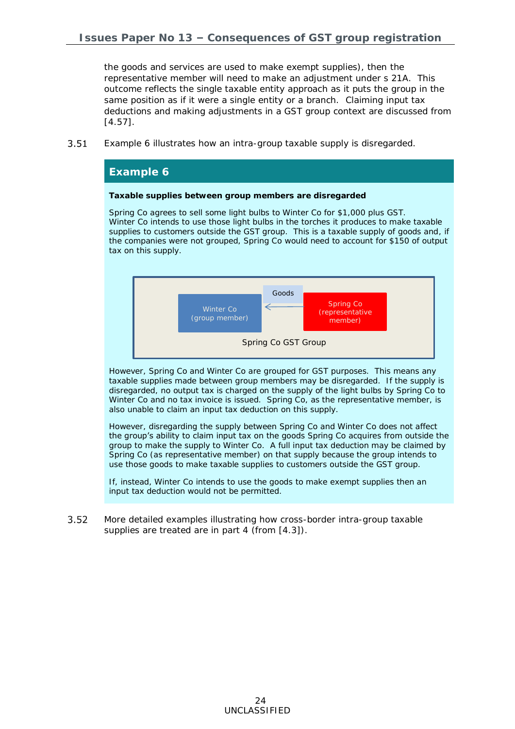the goods and services are used to make exempt supplies), then the representative member will need to make an adjustment under s 21A. This outcome reflects the single taxable entity approach as it puts the group in the same position as if it were a single entity or a branch. Claiming input tax deductions and making adjustments in a GST group context are discussed from [\[4.57\]](#page-52-0).

<span id="page-23-0"></span> $3.51$ Example 6 illustrates how an intra-group taxable supply is disregarded.

#### **Example 6**

**Taxable supplies between group members are disregarded**

Spring Co agrees to sell some light bulbs to Winter Co for \$1,000 plus GST. Winter Co intends to use those light bulbs in the torches it produces to make taxable supplies to customers outside the GST group. This is a taxable supply of goods and, if the companies were not grouped, Spring Co would need to account for \$150 of output tax on this supply.



However, Spring Co and Winter Co are grouped for GST purposes. This means any taxable supplies made between group members may be disregarded. If the supply is disregarded, no output tax is charged on the supply of the light bulbs by Spring Co to Winter Co and no tax invoice is issued. Spring Co, as the representative member, is also unable to claim an input tax deduction on this supply.

However, disregarding the supply between Spring Co and Winter Co does not affect the group's ability to claim input tax on the goods Spring Co acquires from outside the group to make the supply to Winter Co. A full input tax deduction may be claimed by Spring Co (as representative member) on that supply because the group intends to use those goods to make taxable supplies to customers outside the GST group.

If, instead, Winter Co intends to use the goods to make exempt supplies then an input tax deduction would not be permitted.

 $3.52$ More detailed examples illustrating how cross-border intra-group taxable supplies are treated are in part 4 (from [\[4.3\]](#page-38-0)).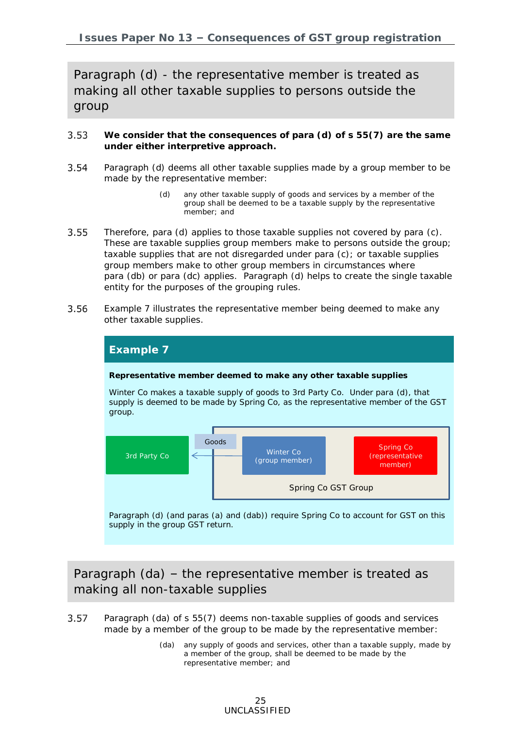Paragraph (d) - the representative member is treated as making all other taxable supplies to persons outside the group

- <span id="page-24-0"></span>3.53 **We consider that the consequences of para (d) of s 55(7) are the same under either interpretive approach.**
- $3.54$ Paragraph (d) deems all *other* taxable supplies made by a group member to be made by the representative member:
	- (d) any other [taxable supply](javascript:void(0)) of [goods](javascript:void(0)) and [services](javascript:void(0)) by a [member](javascript:void(0)) of the group shall be deemed to be a [taxable supply](javascript:void(0)) by the representative [member;](javascript:void(0)) and
- 3.55 Therefore, para (d) applies to those taxable supplies not covered by para (c). These are taxable supplies group members make to persons outside the group; taxable supplies that are not disregarded under para (c); or taxable supplies group members make to other group members in circumstances where para (db) or para (dc) applies. Paragraph (d) helps to create the single taxable entity for the purposes of the grouping rules.
- 3.56 Example 7 illustrates the representative member being deemed to make any other taxable supplies.



supply in the group GST return.

Paragraph (da) – the representative member is treated as making all non-taxable supplies

- <span id="page-24-1"></span>Paragraph (da) of s 55(7) deems non-taxable supplies of goods and services 3.57 made by a member of the group to be made by the representative member:
	- (da) any supply of [goods](javascript:void(0)) and [services,](javascript:void(0)) other than a [taxable supply,](javascript:void(0)) made by a [member](javascript:void(0)) of the group, shall be deemed to be made by the representative [member;](javascript:void(0)) and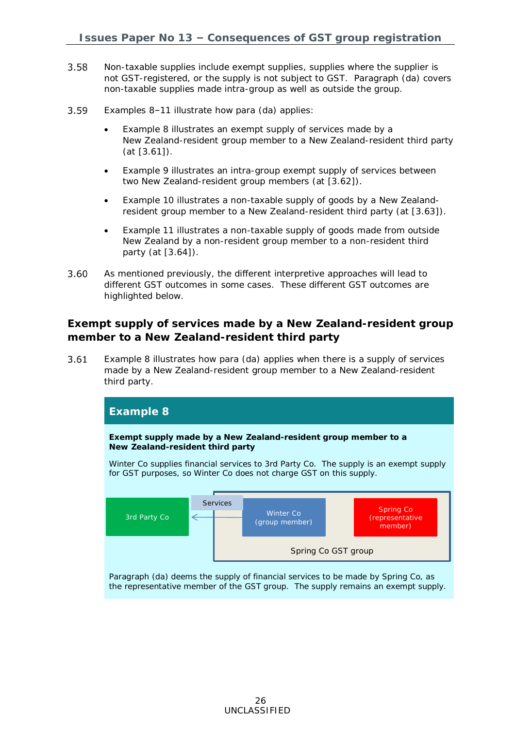- 3.58 Non-taxable supplies include exempt supplies, supplies where the supplier is not GST-registered, or the supply is not subject to GST. Paragraph (da) covers non-taxable supplies made intra-group as well as outside the group.
- 3.59 Examples 8–11 illustrate how para (da) applies:
	- Example 8 illustrates an exempt supply of services made by a New Zealand-resident group member to a New Zealand-resident third party (at [\[3.61\]](#page-25-0)).
	- Example 9 illustrates an intra-group exempt supply of services between two New Zealand-resident group members (at [\[3.62\]](#page-26-0)).
	- Example 10 illustrates a non-taxable supply of goods by a New Zealand-resident group member to a New Zealand-resident third party (at [\[3.63\]](#page-26-1)).
	- Example 11 illustrates a non-taxable supply of goods made from outside New Zealand by a non-resident group member to a non-resident third party (at [\[3.64\]](#page-27-0)).
- 3.60 As mentioned previously, the different interpretive approaches will lead to different GST outcomes in some cases. These different GST outcomes are highlighted below.

**Exempt supply of services made by a New Zealand-resident group member to a New Zealand-resident third party**

<span id="page-25-0"></span>3.61 Example 8 illustrates how para (da) applies when there is a supply of services made by a New Zealand-resident group member to a New Zealand-resident third party.

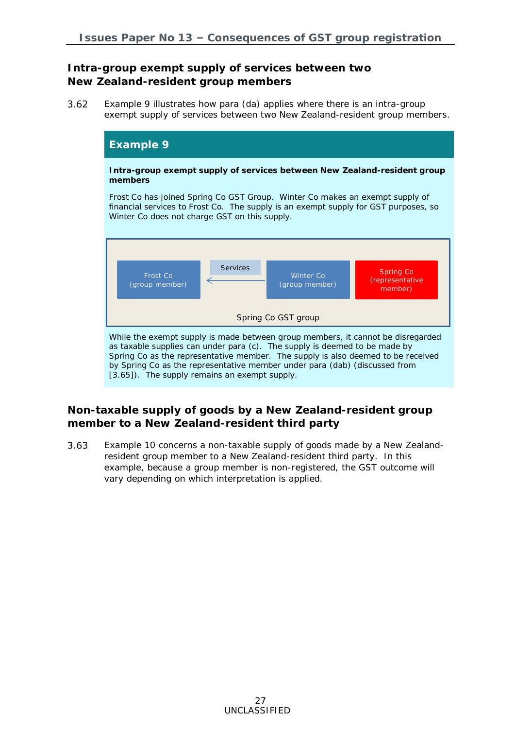### **Intra-group exempt supply of services between two New Zealand-resident group members**

<span id="page-26-0"></span> $3.62$ Example 9 illustrates how para (da) applies where there is an intra-group exempt supply of services between two New Zealand-resident group members.



**Non-taxable supply of goods by a New Zealand-resident group member to a New Zealand-resident third party**

<span id="page-26-1"></span>3.63 Example 10 concerns a non-taxable supply of goods made by a New Zealandresident group member to a New Zealand-resident third party. In this example, because a group member is non-registered, the GST outcome will vary depending on which interpretation is applied.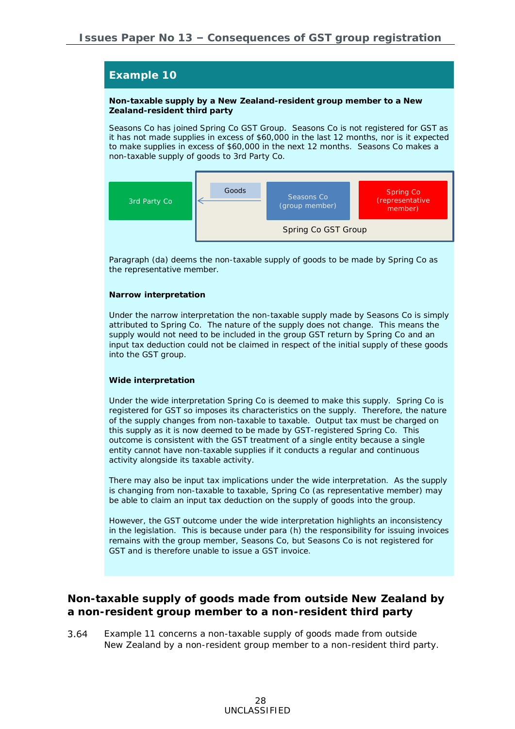#### **Non-taxable supply by a New Zealand-resident group member to a New Zealand-resident third party**

Seasons Co has joined Spring Co GST Group. Seasons Co is not registered for GST as it has not made supplies in excess of \$60,000 in the last 12 months, nor is it expected to make supplies in excess of \$60,000 in the next 12 months. Seasons Co makes a non-taxable supply of goods to 3rd Party Co.



Paragraph (da) deems the non-taxable supply of goods to be made by Spring Co as the representative member.

#### *Narrow interpretation*

Under the narrow interpretation the non-taxable supply made by Seasons Co is simply attributed to Spring Co. The nature of the supply does not change. This means the supply would not need to be included in the group GST return by Spring Co and an input tax deduction could not be claimed in respect of the initial supply of these goods into the GST group.

#### *Wide interpretation*

Under the wide interpretation Spring Co is deemed to make this supply. Spring Co is registered for GST so imposes its characteristics on the supply. Therefore, the nature of the supply changes from non-taxable to taxable. Output tax must be charged on this supply as it is now deemed to be made by GST-registered Spring Co. This outcome is consistent with the GST treatment of a single entity because a single entity cannot have non-taxable supplies if it conducts a regular and continuous activity alongside its taxable activity.

There may also be input tax implications under the wide interpretation. As the supply is changing from non-taxable to taxable, Spring Co (as representative member) may be able to claim an input tax deduction on the supply of goods into the group.

However, the GST outcome under the wide interpretation highlights an inconsistency in the legislation. This is because under para (h) the responsibility for issuing invoices remains with the group member, Seasons Co, but Seasons Co is not registered for GST and is therefore unable to issue a GST invoice.

**Non-taxable supply of goods made from outside New Zealand by a non-resident group member to a non-resident third party**

<span id="page-27-0"></span>3.64 Example 11 concerns a non-taxable supply of goods made from outside New Zealand by a non-resident group member to a non-resident third party.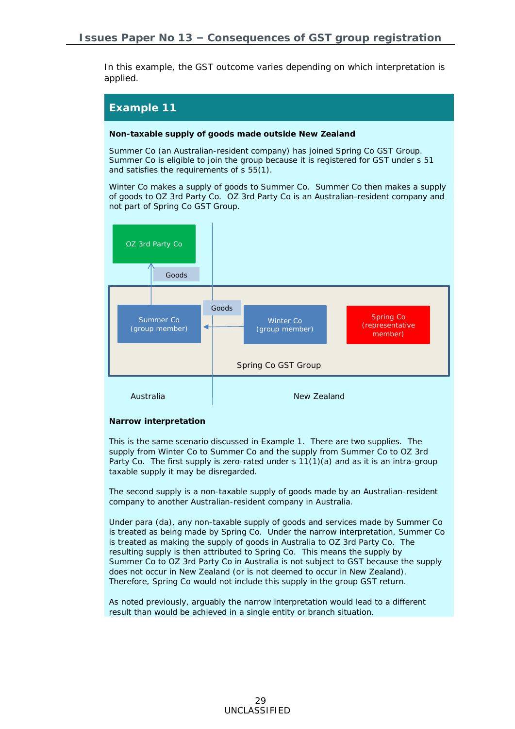In this example, the GST outcome varies depending on which interpretation is applied.

## **Example 11**

**Non-taxable supply of goods made outside New Zealand**

Summer Co (an Australian-resident company) has joined Spring Co GST Group. Summer Co is eligible to join the group because it is registered for GST under s 51 and satisfies the requirements of s 55(1).

Winter Co makes a supply of goods to Summer Co. Summer Co then makes a supply of goods to OZ 3rd Party Co. OZ 3rd Party Co is an Australian-resident company and not part of Spring Co GST Group.



#### *Narrow interpretation*

This is the same scenario discussed in Example 1. There are two supplies. The supply from Winter Co to Summer Co and the supply from Summer Co to OZ 3rd Party Co. The first supply is zero-rated under s 11(1)(a) and as it is an intra-group taxable supply it may be disregarded.

The second supply is a non-taxable supply of goods made by an Australian-resident company to another Australian-resident company in Australia.

Under para (da), any non-taxable supply of goods and services made by Summer Co is treated as being made by Spring Co. Under the narrow interpretation, Summer Co is treated as making the supply of goods in Australia to OZ 3rd Party Co. The resulting supply is then attributed to Spring Co. This means the supply by Summer Co to OZ 3rd Party Co in Australia is not subject to GST because the supply does not occur in New Zealand (or is not deemed to occur in New Zealand). Therefore, Spring Co would not include this supply in the group GST return.

As noted previously, arguably the narrow interpretation would lead to a different result than would be achieved in a single entity or branch situation.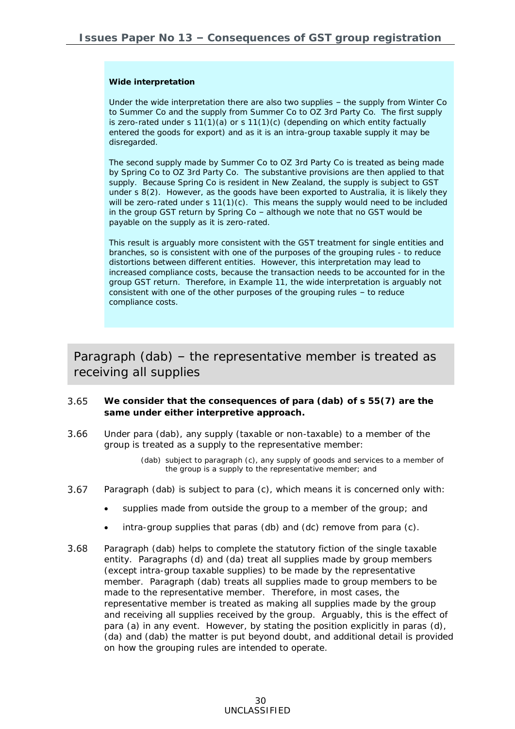#### *Wide interpretation*

Under the wide interpretation there are also two supplies – the supply from Winter Co to Summer Co and the supply from Summer Co to OZ 3rd Party Co. The first supply is zero-rated under s 11(1)(a) or s 11(1)(c) (depending on which entity factually entered the goods for export) and as it is an intra-group taxable supply it may be disregarded.

The second supply made by Summer Co to OZ 3rd Party Co is treated as being made by Spring Co to OZ 3rd Party Co. The substantive provisions are then applied to that supply. Because Spring Co is resident in New Zealand, the supply is subject to GST under s 8(2). However, as the goods have been exported to Australia, it is likely they will be zero-rated under  $s 11(1)(c)$ . This means the supply would need to be included in the group GST return by Spring Co – although we note that no GST would be payable on the supply as it is zero-rated.

This result is arguably more consistent with the GST treatment for single entities and branches, so is consistent with one of the purposes of the grouping rules - to reduce distortions between different entities. However, this interpretation may lead to increased compliance costs, because the transaction needs to be accounted for in the group GST return. Therefore, in Example 11, the wide interpretation is arguably not consistent with one of the other purposes of the grouping rules – to reduce compliance costs.

## Paragraph (dab) – the representative member is treated as receiving all supplies

- <span id="page-29-0"></span>3.65 **We consider that the consequences of para (dab) of s 55(7) are the same under either interpretive approach.**
- 3.66 Under para (dab), any supply (taxable or non-taxable) to a member of the group is treated as a supply to the representative member:
	- (dab) subject to paragraph (c), any supply of [goods](javascript:void(0)) and [services](javascript:void(0)) to a [member](javascript:void(0)) of the group is a supply to the representative [member;](javascript:void(0)) and
- 3.67 Paragraph (dab) is subject to para (c), which means it is concerned only with:
	- supplies made from outside the group to a member of the group; and
	- intra-group supplies that paras (db) and (dc) remove from para (c).
- 3.68 Paragraph (dab) helps to complete the statutory fiction of the single taxable entity. Paragraphs (d) and (da) treat all supplies made by group members (except intra-group taxable supplies) to be made by the representative member. Paragraph (dab) treats all supplies made to group members to be made to the representative member. Therefore, in most cases, the representative member is treated as making all supplies made by the group and receiving all supplies received by the group. Arguably, this is the effect of para (a) in any event. However, by stating the position explicitly in paras (d), (da) and (dab) the matter is put beyond doubt, and additional detail is provided on how the grouping rules are intended to operate.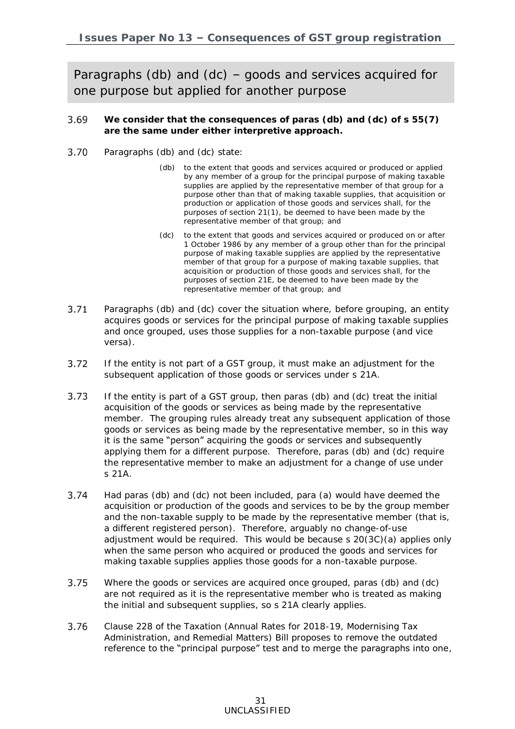Paragraphs (db) and (dc) – goods and services acquired for one purpose but applied for another purpose

- <span id="page-30-0"></span>3.69 **We consider that the consequences of paras (db) and (dc) of s 55(7) are the same under either interpretive approach.**
- 3.70 Paragraphs (db) and (dc) state:
	- (db) to the extent that [goods](javascript:void(0)) and [services](javascript:void(0)) acquired or produced or applied by any [member](javascript:void(0)) of a group for the principal purpose of making taxable supplies are applied by the representative [member](javascript:void(0)) of that group for a purpose other than that of making taxable supplies, that acquisition or production or application of those [goods](javascript:void(0)) and [services](javascript:void(0)) shall, for the purposes of section [21\(1\),](javascript:void(0)) be deemed to have been made by the representative [member](javascript:void(0)) of that group; and
	- (dc) to the extent that [goods](javascript:void(0)) and [services](javascript:void(0)) acquired or produced on or after 1 October 1986 by any [member](javascript:void(0)) of a group other than for the principal purpose of making taxable supplies are applied by the representative [member](javascript:void(0)) of that group for a purpose of making taxable supplies, that acquisition or production of those [goods](javascript:void(0)) and [services](javascript:void(0)) shall, for the purposes of section [21E,](javascript:void(0)) be deemed to have been made by the representative [member](javascript:void(0)) of that group; and
- $3.71$ Paragraphs (db) and (dc) cover the situation where, before grouping, an entity acquires goods or services for the principal purpose of making taxable supplies and once grouped, uses those supplies for a non-taxable purpose (and vice versa).
- $3.72$ If the entity is not part of a GST group, it must make an adjustment for the subsequent application of those goods or services under s 21A.
- 3.73 If the entity is part of a GST group, then paras (db) and (dc) treat the initial acquisition of the goods or services as being made by the representative member. The grouping rules already treat any subsequent application of those goods or services as being made by the representative member, so in this way it is the same "person" acquiring the goods or services and subsequently applying them for a different purpose. Therefore, paras (db) and (dc) require the representative member to make an adjustment for a change of use under s 21A.
- $3.74$ Had paras (db) and (dc) not been included, para (a) would have deemed the acquisition or production of the goods and services to be by the group member and the non-taxable supply to be made by the representative member (that is, a different registered person). Therefore, arguably no change-of-use adjustment would be required. This would be because s 20(3C)(a) applies only when the same person who acquired or produced the goods and services for making taxable supplies applies those goods for a non-taxable purpose.
- 3.75 Where the goods or services are acquired once grouped, paras (db) and (dc) are not required as it is the representative member who is treated as making the initial and subsequent supplies, so s 21A clearly applies.
- 3.76 Clause 228 of the Taxation (Annual Rates for 2018-19, Modernising Tax Administration, and Remedial Matters) Bill proposes to remove the outdated reference to the "principal purpose" test and to merge the paragraphs into one,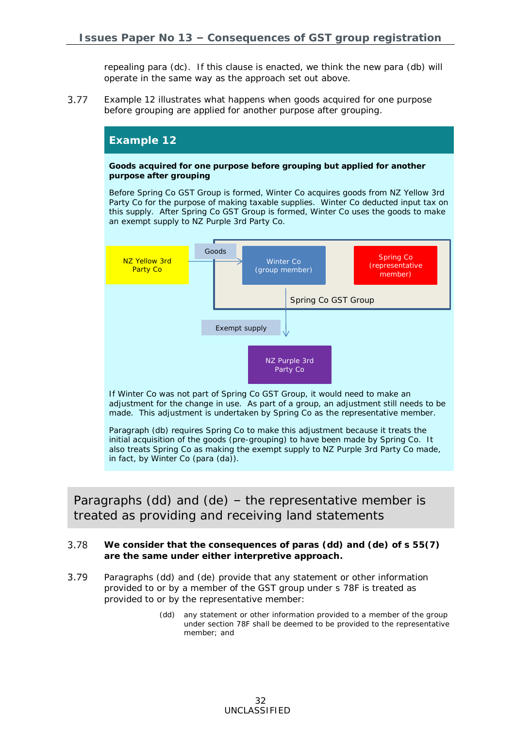repealing para (dc). If this clause is enacted, we think the new para (db) will operate in the same way as the approach set out above.

3.77 Example 12 illustrates what happens when goods acquired for one purpose before grouping are applied for another purpose after grouping.

## **Example 12 Goods acquired for one purpose before grouping but applied for another purpose after grouping** Before Spring Co GST Group is formed, Winter Co acquires goods from NZ Yellow 3rd Party Co for the purpose of making taxable supplies. Winter Co deducted input tax on this supply. After Spring Co GST Group is formed, Winter Co uses the goods to make an exempt supply to NZ Purple 3rd Party Co. If Winter Co was not part of Spring Co GST Group, it would need to make an adjustment for the change in use. As part of a group, an adjustment still needs to be Spring Co GST Group (group member) Spring Co (representative member) N<sub>7</sub> Yellow 3rd Party Co Goods Exempt supply NZ Purple 3rd Party Co

made. This adjustment is undertaken by Spring Co as the representative member. Paragraph (db) requires Spring Co to make this adjustment because it treats the initial acquisition of the goods (pre-grouping) to have been made by Spring Co. It also treats Spring Co as making the exempt supply to NZ Purple 3rd Party Co made,

in fact, by Winter Co (para (da)).

Paragraphs (dd) and (de) – the representative member is treated as providing and receiving land statements

- <span id="page-31-0"></span>3.78 **We consider that the consequences of paras (dd) and (de) of s 55(7) are the same under either interpretive approach.**
- 3.79 Paragraphs (dd) and (de) provide that any statement or other information provided to or by a member of the GST group under s 78F is treated as provided to or by the representative member:
	- (dd) any statement or other information provided to a [member](javascript:void(0)) of the group under section [78F](javascript:void(0)) shall be deemed to be provided to the representative [member;](javascript:void(0)) and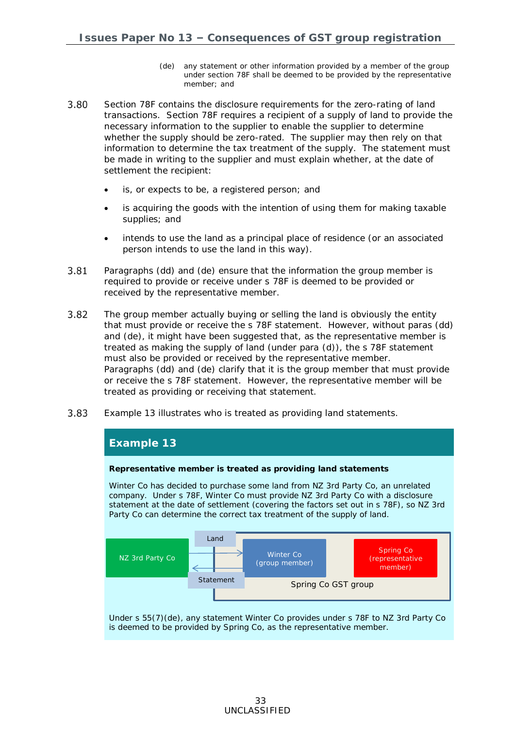- (de) any statement or other information provided by a [member](javascript:void(0)) of the group under section [78F](javascript:void(0)) shall be deemed to be provided by the representative [member;](javascript:void(0)) and
- 3.80 Section 78F contains the disclosure requirements for the zero-rating of land transactions. Section 78F requires a recipient of a supply of land to provide the necessary information to the supplier to enable the supplier to determine whether the supply should be zero-rated. The supplier may then rely on that information to determine the tax treatment of the supply. The statement must be made in writing to the supplier and must explain whether, at the date of settlement the recipient:
	- is, or expects to be, a registered person; and
	- is acquiring the goods with the intention of using them for making taxable supplies; and
	- intends to use the land as a principal place of residence (or an associated person intends to use the land in this way).
- 3.81 Paragraphs (dd) and (de) ensure that the information the group member is required to provide or receive under s 78F is deemed to be provided or received by the representative member.
- 3.82 The group member actually buying or selling the land is obviously the entity that must provide or receive the s 78F statement. However, without paras (dd) and (de), it might have been suggested that, as the representative member is treated as making the supply of land (under para (d)), the s 78F statement must also be provided or received by the representative member. Paragraphs (dd) and (de) clarify that it is the group member that must provide or receive the s 78F statement. However, the representative member will be treated as providing or receiving that statement.
- 3.83 Example 13 illustrates who is treated as providing land statements.

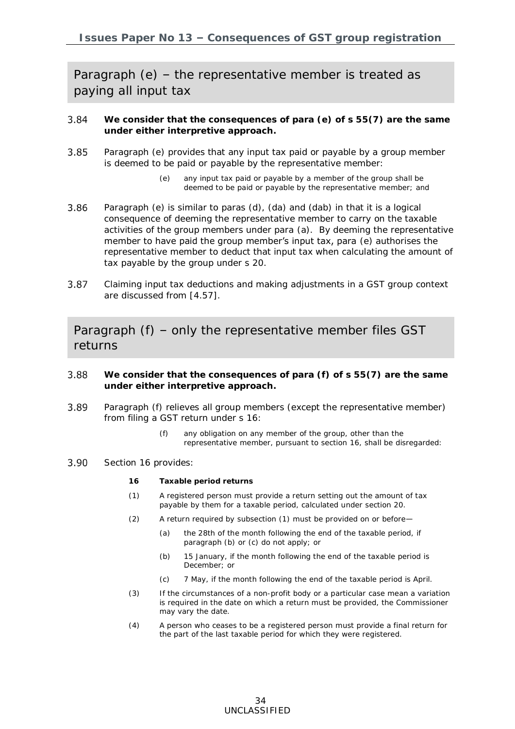Paragraph (e) – the representative member is treated as paying all input tax

- <span id="page-33-0"></span>3.84 **We consider that the consequences of para (e) of s 55(7) are the same under either interpretive approach.**
- 3.85 Paragraph (e) provides that any input tax paid or payable by a group member is deemed to be paid or payable by the representative member:
	- (e) any [input tax](javascript:void(0)) paid or payable by a [member](javascript:void(0)) of the group shall be deemed to be paid or payable by the representative [member;](javascript:void(0)) and
- 3.86 Paragraph (e) is similar to paras (d), (da) and (dab) in that it is a logical consequence of deeming the representative member to carry on the taxable activities of the group members under para (a). By deeming the representative member to have paid the group member's input tax, para (e) authorises the representative member to deduct that input tax when calculating the amount of tax payable by the group under s 20.
- 3.87 Claiming input tax deductions and making adjustments in a GST group context are discussed from [\[4.57\]](#page-52-0).

Paragraph (f) – only the representative member files GST returns

- <span id="page-33-1"></span>3.88 **We consider that the consequences of para (f) of s 55(7) are the same under either interpretive approach.**
- 3.89 Paragraph (f) relieves all group members (except the representative member) from filing a GST return under s 16:
	- (f) any obligation on any [member](javascript:void(0)) of the group, other than the representative [member,](javascript:void(0)) pursuant to section [16,](javascript:void(0)) shall be disregarded:
- 3.90 Section 16 provides:
	- **16 Taxable period returns**
	- (1) A registered person must provide a return setting out the amount of tax payable by them for a taxable period, calculated under [section 20.](http://legislation.govt.nz/act/public/1985/0141/latest/link.aspx?search=ts_act%40bill%40regulation%40deemedreg_goods+and+services+_resel_25_a&p=1&id=DLM83479#DLM83479)
	- (2) A return required by subsection (1) must be provided on or before—
		- (a) the 28th of the month following the end of the taxable period, if paragraph (b) or (c) do not apply; or
		- (b) 15 January, if the month following the end of the taxable period is December; or
		- (c) 7 May, if the month following the end of the taxable period is April.
	- (3) If the circumstances of a non-profit body or a particular case mean a variation is required in the date on which a return must be provided, the Commissioner may vary the date.
	- (4) A person who ceases to be a registered person must provide a final return for the part of the last taxable period for which they were registered.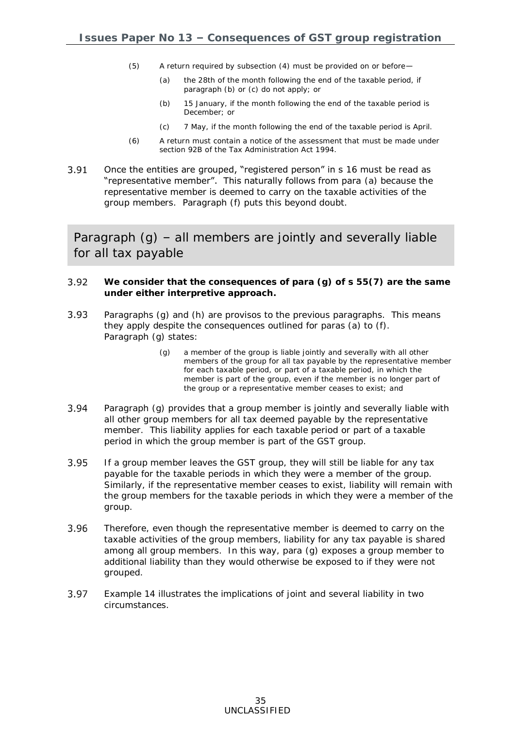- (5) A return required by subsection (4) must be provided on or before—
	- (a) the 28th of the month following the end of the taxable period, if paragraph (b) or (c) do not apply; or
	- (b) 15 January, if the month following the end of the taxable period is December; or
	- (c) 7 May, if the month following the end of the taxable period is April.
- (6) A return must contain a notice of the assessment that must be made under [section](http://legislation.govt.nz/act/public/1985/0141/latest/link.aspx?search=ts_act%40bill%40regulation%40deemedreg_goods+and+services+_resel_25_a&p=1&id=DLM354432#DLM354432) 92B of the Tax Administration Act 1994.
- 3.91 Once the entities are grouped, "registered person" in s 16 must be read as "representative member". This naturally follows from para (a) because the representative member is deemed to carry on the taxable activities of the group members. Paragraph (f) puts this beyond doubt.

Paragraph (g) – all members are jointly and severally liable for all tax payable

- <span id="page-34-0"></span>3.92 **We consider that the consequences of para (g) of s 55(7) are the same under either interpretive approach.**
- $3.93$ Paragraphs (g) and (h) are provisos to the previous paragraphs. This means they apply despite the consequences outlined for paras (a) to (f). Paragraph (g) states:
	- (g) a [member](javascript:void(0)) of the group is liable jointly and severally with all other members of the group for all [tax payable](javascript:void(0)) by the representative [member](javascript:void(0)) for each [taxable period,](javascript:void(0)) or part of a [taxable period,](javascript:void(0)) in which the [member](javascript:void(0)) is part of the group, even if the [member](javascript:void(0)) is no longer part of the group or a representative [member](javascript:void(0)) ceases to exist; and
- 3.94 Paragraph (g) provides that a group member is jointly and severally liable with all other group members for all tax deemed payable by the representative member. This liability applies for each taxable period or part of a taxable period in which the group member is part of the GST group.
- 3.95 If a group member leaves the GST group, they will still be liable for any tax payable for the taxable periods in which they were a member of the group. Similarly, if the representative member ceases to exist, liability will remain with the group members for the taxable periods in which they were a member of the group.
- 3.96 Therefore, even though the representative member is deemed to carry on the taxable activities of the group members, liability for any tax payable is shared among all group members. In this way, para (g) exposes a group member to additional liability than they would otherwise be exposed to if they were not grouped.
- 3.97 Example 14 illustrates the implications of joint and several liability in two circumstances.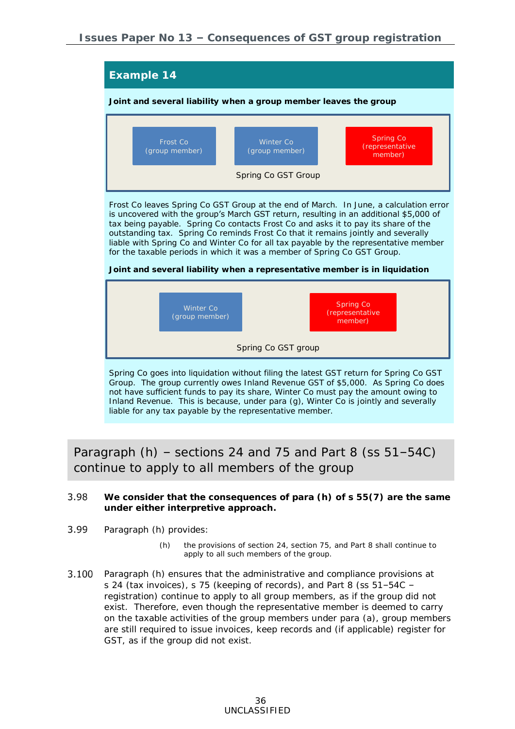

Paragraph  $(h)$  – sections 24 and 75 and Part 8 (ss  $51-54C$ ) continue to apply to all members of the group

- <span id="page-35-0"></span>3.98 **We consider that the consequences of para (h) of s 55(7) are the same under either interpretive approach.**
- 3.99 Paragraph (h) provides:
	- (h) the provisions of section [24,](javascript:void(0)) section [75,](javascript:void(0)) and Part [8](javascript:void(0)) shall continue to [apply](javascript:void(0)) to all such members of the group.
- 3.100 Paragraph (h) ensures that the administrative and compliance provisions at s 24 (tax invoices), s 75 (keeping of records), and Part 8 (ss 51–54C – registration) continue to apply to all group members, as if the group did not exist. Therefore, even though the representative member is deemed to carry on the taxable activities of the group members under para (a), group members are still required to issue invoices, keep records and (if applicable) register for GST, as if the group did not exist.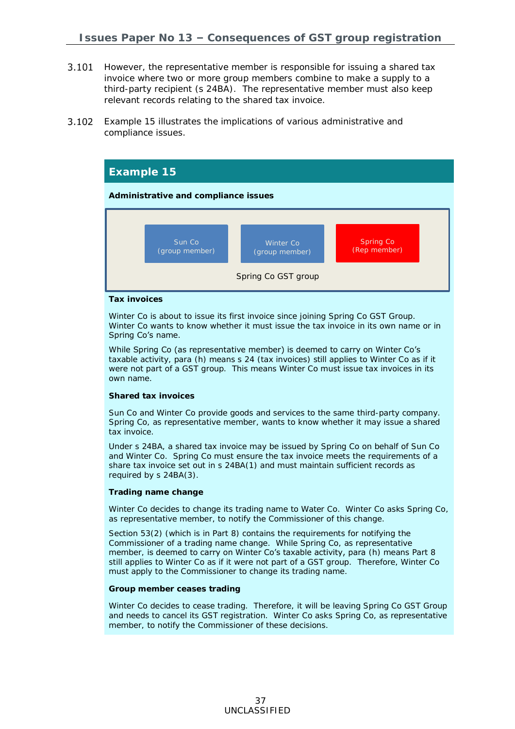- **3.101** However, the representative member is responsible for issuing a shared tax invoice where two or more group members combine to make a supply to a third-party recipient (s 24BA). The representative member must also keep relevant records relating to the shared tax invoice.
- $3.102$ Example 15 illustrates the implications of various administrative and compliance issues.



#### *Tax invoices*

Winter Co is about to issue its first invoice since joining Spring Co GST Group. Winter Co wants to know whether it must issue the tax invoice in its own name or in Spring Co's name.

While Spring Co (as representative member) is deemed to carry on Winter Co's while Spring Co (as representative member) is deemed to carry on whiter Co s<br>taxable activity, para (h) means s 24 (tax invoices) still applies to Winter Co as if it were not part of a GST group. This means Winter Co must issue tax invoices in its own name.

#### *Shared tax invoices*

Sun Co and Winter Co provide goods and services to the same third-party company. Spring Co, as representative member, wants to know whether it may issue a shared tax invoice.

Under s 24BA, a shared tax invoice may be issued by Spring Co on behalf of Sun Co and Winter Co. Spring Co must ensure the tax invoice meets the requirements of a share tax invoice set out in s 24BA(1) and must maintain sufficient records as required by s 24BA(3).

#### *Trading name change*

Winter Co decides to change its trading name to Water Co. Winter Co asks Spring Co, as representative member, to notify the Commissioner of this change.

Section 53(2) (which is in Part 8) contains the requirements for notifying the Commissioner of a trading name change. While Spring Co, as representative member, is deemed to carry on Winter Co's taxable activity, para (h) means Part 8 still applies to Winter Co as if it were not part of a GST group. Therefore, Winter Co must apply to the Commissioner to change its trading name.

#### *Group member ceases trading*

Winter Co decides to cease trading. Therefore, it will be leaving Spring Co GST Group and needs to cancel its GST registration. Winter Co asks Spring Co, as representative member, to notify the Commissioner of these decisions.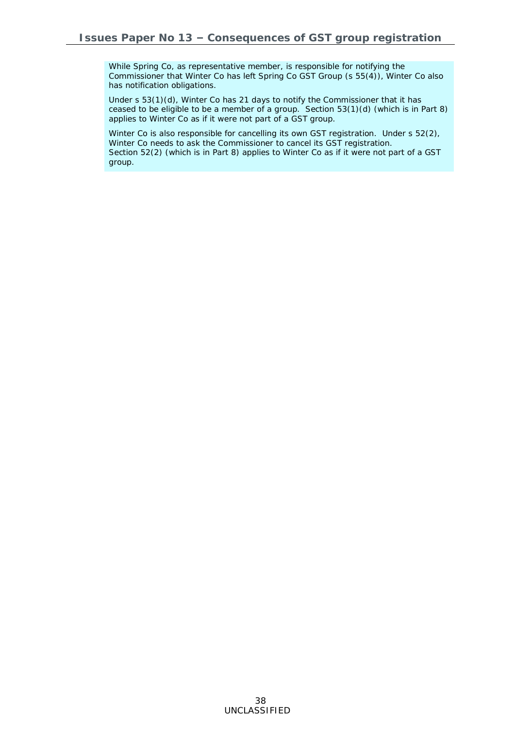While Spring Co, as representative member, is responsible for notifying the Commissioner that Winter Co has left Spring Co GST Group (s 55(4)), Winter Co also has notification obligations.

Under s 53(1)(d), Winter Co has 21 days to notify the Commissioner that it has ceased to be eligible to be a member of a group. Section 53(1)(d) (which is in Part 8) applies to Winter Co as if it were not part of a GST group.

Winter Co is also responsible for cancelling its own GST registration. Under s 52(2), Winter Co needs to ask the Commissioner to cancel its GST registration. Section 52(2) (which is in Part 8) applies to Winter Co as if it were not part of a GST group.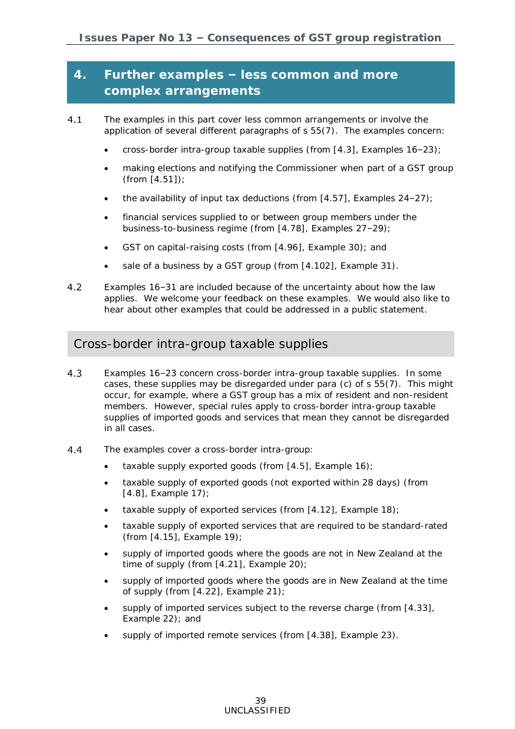## **4. Further examples – less common and more complex arrangements**

- $4.1$ The examples in this part cover less common arrangements or involve the application of several different paragraphs of s 55(7). The examples concern:
	- cross-border intra-group taxable supplies (from [\[4.3\]](#page-38-0), Examples 16–23);
	- making elections and notifying the Commissioner when part of a GST group (from [\[4.51\]](#page-51-0));
	- the availability of input tax deductions (from  $[4.57]$ , Examples 24-27);
	- financial services supplied to or between group members under the business-to-business regime (from [\[4.78\]](#page-57-0), Examples 27–29);
	- GST on capital-raising costs (from [\[4.96\]](#page-63-0), Example 30); and
	- sale of a business by a GST group (from [\[4.102\]](#page-65-0), Example 31).
- $4.2$ Examples 16–31 are included because of the uncertainty about how the law applies. We welcome your feedback on these examples. We would also like to hear about other examples that could be addressed in a public statement.

### Cross-border intra-group taxable supplies

- <span id="page-38-0"></span> $4.3$ Examples 16–23 concern cross-border intra-group taxable supplies. In some cases, these supplies may be disregarded under para (c) of s 55(7). This might occur, for example, where a GST group has a mix of resident and non-resident members. However, special rules apply to cross-border intra-group taxable supplies of imported goods and services that mean they cannot be disregarded in all cases.
- 4.4 The examples cover a cross-border intra-group:
	- taxable supply exported goods (from [\[4.5\]](#page-39-0), Example 16);
	- taxable supply of exported goods (not exported within 28 days) (from [\[4.8\]](#page-40-0), Example 17);
	- taxable supply of exported services (from [\[4.12\]](#page-41-0), Example 18);
	- taxable supply of exported services that are required to be standard-rated (from [\[4.15\]](#page-42-0), Example 19);
	- supply of imported goods where the goods are not in New Zealand at the time of supply (from [\[4.21\]](#page-44-0), Example 20);
	- supply of imported goods where the goods are in New Zealand at the time of supply (from [\[4.22\]](#page-45-0), Example 21);
	- supply of imported services subject to the reverse charge (from [\[4.33\]](#page-47-0), Example 22); and
	- supply of imported remote services (from [\[4.38\]](#page-49-0), Example 23).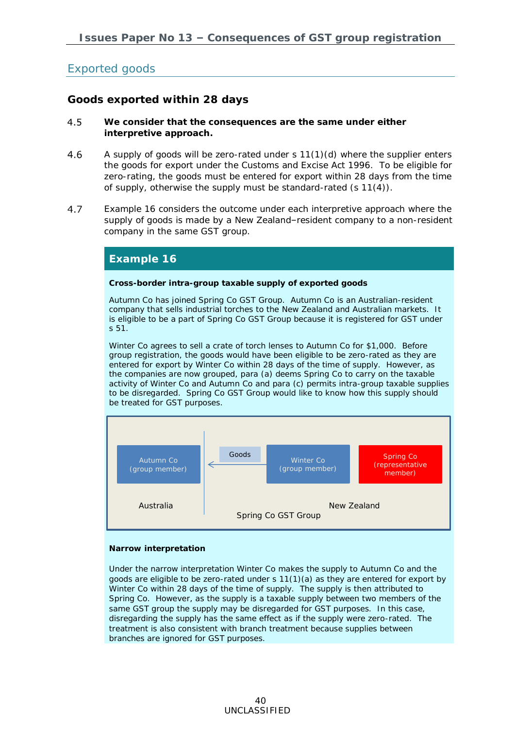## Exported goods

### **Goods exported within 28 days**

- <span id="page-39-0"></span> $4.5$ **We consider that the consequences are the same under either interpretive approach.**
- 4.6 A supply of goods will be zero-rated under s 11(1)(d) where the supplier enters the goods for export under the Customs and Excise Act 1996. To be eligible for zero-rating, the goods must be entered for export within 28 days from the time of supply, otherwise the supply must be standard-rated (s 11(4)).
- 4.7 Example 16 considers the outcome under each interpretive approach where the supply of goods is made by a New Zealand–resident company to a non-resident company in the same GST group.

#### **Example 16**

**Cross-border intra-group taxable supply of exported goods**

Autumn Co has joined Spring Co GST Group. Autumn Co is an Australian-resident company that sells industrial torches to the New Zealand and Australian markets. It is eligible to be a part of Spring Co GST Group because it is registered for GST under  $51.$ 

Winter Co agrees to sell a crate of torch lenses to Autumn Co for \$1,000. Before group registration, the goods would have been eligible to be zero-rated as they are entered for export by Winter Co within 28 days of the time of supply. However, as the companies are now grouped, para (a) deems Spring Co to carry on the taxable activity of Winter Co and Autumn Co and para (c) permits intra-group taxable supplies to be disregarded. Spring Co GST Group would like to know how this supply should be treated for GST purposes.



#### *Narrow interpretation*

Under the narrow interpretation Winter Co makes the supply to Autumn Co and the goods are eligible to be zero-rated under s 11(1)(a) as they are entered for export by Winter Co within 28 days of the time of supply. The supply is then attributed to Spring Co. However, as the supply is a taxable supply between two members of the same GST group the supply may be disregarded for GST purposes. In this case, disregarding the supply has the same effect as if the supply were zero-rated. The treatment is also consistent with branch treatment because supplies between branches are ignored for GST purposes.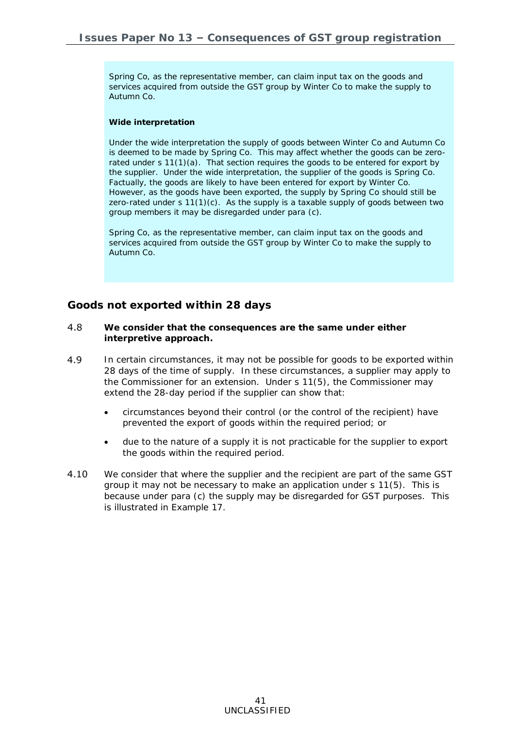Spring Co, as the representative member, can claim input tax on the goods and services acquired from outside the GST group by Winter Co to make the supply to Autumn Co.

#### *Wide interpretation*

Under the wide interpretation the supply of goods between Winter Co and Autumn Co is deemed to be made by Spring Co. This may affect whether the goods can be zerorated under s  $11(1)(a)$ . That section requires the goods to be entered for export by the supplier. Under the wide interpretation, the supplier of the goods is Spring Co. Factually, the goods are likely to have been entered for export by Winter Co. However, as the goods have been exported, the supply by Spring Co should still be zero-rated under  $s 11(1)(c)$ . As the supply is a taxable supply of goods between two group members it may be disregarded under para (c).

Spring Co, as the representative member, can claim input tax on the goods and services acquired from outside the GST group by Winter Co to make the supply to Autumn Co.

#### **Goods not exported within 28 days**

- <span id="page-40-0"></span>4.8 **We consider that the consequences are the same under either interpretive approach.**
- 4.9 In certain circumstances, it may not be possible for goods to be exported within 28 days of the time of supply. In these circumstances, a supplier may apply to the Commissioner for an extension. Under s 11(5), the Commissioner may extend the 28-day period if the supplier can show that:
	- circumstances beyond their control (or the control of the recipient) have prevented the export of goods within the required period; or
	- due to the nature of a supply it is not practicable for the supplier to export the goods within the required period.
- $4.10$ We consider that where the supplier and the recipient are part of the same GST group it may not be necessary to make an application under s 11(5). This is because under para (c) the supply may be disregarded for GST purposes. This is illustrated in Example 17.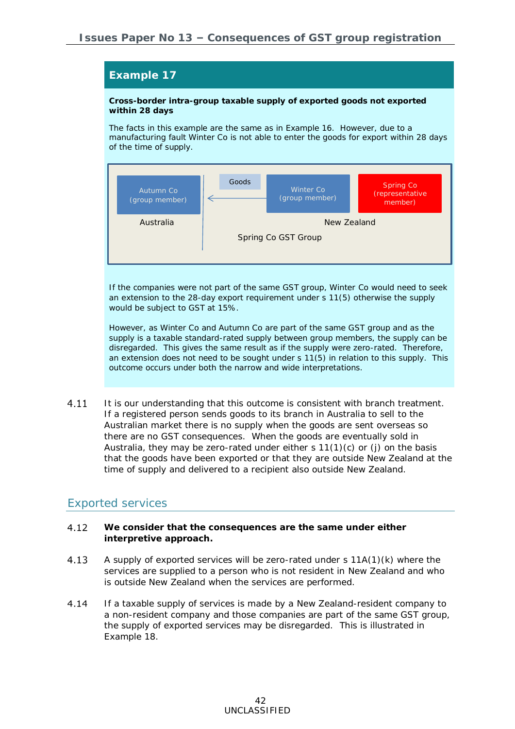**Cross-border intra-group taxable supply of exported goods not exported within 28 days**

The facts in this example are the same as in Example 16. However, due to a manufacturing fault Winter Co is not able to enter the goods for export within 28 days of the time of supply.



If the companies were not part of the same GST group, Winter Co would need to seek an extension to the 28-day export requirement under s 11(5) otherwise the supply would be subject to GST at 15%.

However, as Winter Co and Autumn Co are part of the same GST group and as the supply is a taxable standard-rated supply between group members, the supply can be disregarded. This gives the same result as if the supply were zero-rated. Therefore, an extension does not need to be sought under s 11(5) in relation to this supply. This outcome occurs under both the narrow and wide interpretations.

4.11 It is our understanding that this outcome is consistent with branch treatment. If a registered person sends goods to its branch in Australia to sell to the Australian market there is no supply when the goods are sent overseas so there are no GST consequences. When the goods are eventually sold in Australia, they may be zero-rated under either  $s 11(1)(c)$  or (j) on the basis that the goods have been exported or that they are outside New Zealand at the time of supply and delivered to a recipient also outside New Zealand.

#### Exported services

- <span id="page-41-0"></span> $4.12$ **We consider that the consequences are the same under either interpretive approach.**
- 4.13 A supply of exported services will be zero-rated under s  $11A(1)(k)$  where the services are supplied to a person who is not resident in New Zealand and who is outside New Zealand when the services are performed.
- 4.14 If a taxable supply of services is made by a New Zealand-resident company to a non-resident company and those companies are part of the same GST group, the supply of exported services may be disregarded. This is illustrated in Example 18.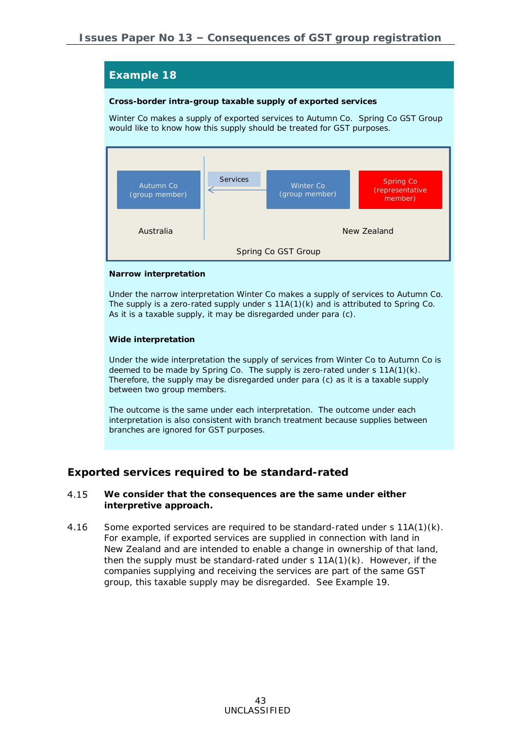**Cross-border intra-group taxable supply of exported services**

Winter Co makes a supply of exported services to Autumn Co. Spring Co GST Group would like to know how this supply should be treated for GST purposes.



#### *Narrow interpretation*

Under the narrow interpretation Winter Co makes a supply of services to Autumn Co. The supply is a zero-rated supply under s 11A(1)(k) and is attributed to Spring Co. As it is a taxable supply, it may be disregarded under para (c).

#### *Wide interpretation*

Under the wide interpretation the supply of services from Winter Co to Autumn Co is deemed to be made by Spring Co. The supply is zero-rated under s 11A(1)(k). Therefore, the supply may be disregarded under para (c) as it is a taxable supply between two group members.

The outcome is the same under each interpretation. The outcome under each interpretation is also consistent with branch treatment because supplies between branches are ignored for GST purposes.

#### **Exported services required to be standard-rated**

- <span id="page-42-0"></span>4.15 **We consider that the consequences are the same under either interpretive approach.**
- $4.16$ Some exported services are required to be standard-rated under  $s$  11A(1)(k). For example, if exported services are supplied in connection with land in New Zealand and are intended to enable a change in ownership of that land, then the supply must be standard-rated under  $s$  11A(1)(k). However, if the companies supplying and receiving the services are part of the same GST group, this taxable supply may be disregarded. See Example 19.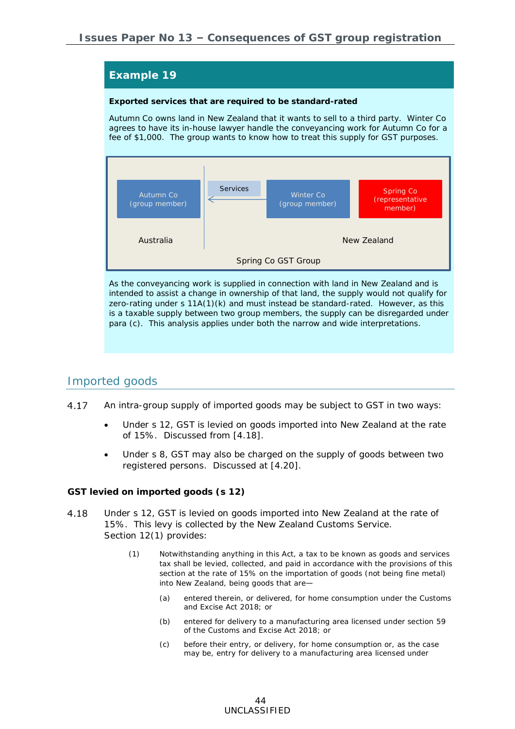**Exported services that are required to be standard-rated**

Autumn Co owns land in New Zealand that it wants to sell to a third party. Winter Co agrees to have its in-house lawyer handle the conveyancing work for Autumn Co for a fee of \$1,000. The group wants to know how to treat this supply for GST purposes.



As the conveyancing work is supplied in connection with land in New Zealand and is intended to assist a change in ownership of that land, the supply would not qualify for zero-rating under s  $11A(1)(k)$  and must instead be standard-rated. However, as this is a taxable supply between two group members, the supply can be disregarded under para (c). This analysis applies under both the narrow and wide interpretations.

### Imported goods

- 4.17 An intra-group supply of imported goods may be subject to GST in two ways:
	- Under s 12, GST is levied on goods imported into New Zealand at the rate of 15%. Discussed from [\[4.18\]](#page-43-0).
	- Under s 8, GST may also be charged on the supply of goods between two registered persons. Discussed at [\[4.20\]](#page-44-1).

<span id="page-43-0"></span>*GST levied on imported goods (s 12)*

- 4.18 Under s 12, GST is levied on goods imported into New Zealand at the rate of 15%. This levy is collected by the New Zealand Customs Service. Section 12(1) provides:
	- (1) Notwithstanding anything in this Act, a [tax](javascript:void(0)) to be known as [goods](javascript:void(0)) and [services](javascript:void(0)) [tax](javascript:void(0)) shall be levied, collected, and paid in accordance with the provisions of this section at the rate of 15% on the importation of [goods](javascript:void(0)) (not being [fine metal\)](javascript:void(0)) into New [Zealand,](javascript:void(0)) being [goods](javascript:void(0)) that are—
		- (a) entered therein, or delivered, for home consumption under the Customs and Excise Act 2018; or
		- (b) entered for delivery to a manufacturing area licensed under section [59](javascript:void(0)) of the Customs and Excise Act 2018; or
		- (c) before their entry, or delivery, for home consumption or, as the case may be, entry for delivery to a manufacturing area licensed under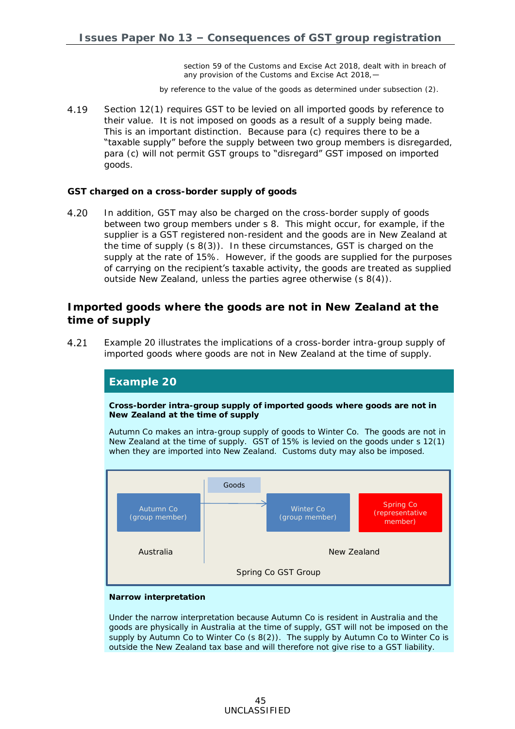section [59](javascript:void(0)) of the Customs and Excise Act 2018, dealt with in breach of any provision of the Customs and Excise Act 2018,—

by reference to the value of the [goods](javascript:void(0)) as determined under subsection [\(2\).](javascript:void(0))

4.19 Section 12(1) requires GST to be levied on all imported goods by reference to their value. It is not imposed on goods as a result of a supply being made. This is an important distinction. Because para (c) requires there to be a "taxable supply" before the supply between two group members is disregarded, para (c) will not permit GST groups to "disregard" GST imposed on imported goods.

#### <span id="page-44-1"></span>*GST charged on a cross-border supply of goods*

4.20 In addition, GST may also be charged on the cross-border supply of goods between two group members under s 8. This might occur, for example, if the supplier is a GST registered non-resident and the goods are in New Zealand at the time of supply (s 8(3)). In these circumstances, GST is charged on the supply at the rate of 15%. However, if the goods are supplied for the purposes of carrying on the recipient's taxable activity, the goods are treated as supplied outside New Zealand, unless the parties agree otherwise (s 8(4)).

**Imported goods where the goods are not in New Zealand at the time of supply**

<span id="page-44-0"></span> $4.21$ Example 20 illustrates the implications of a cross-border intra-group supply of imported goods where goods are not in New Zealand at the time of supply.



#### *Narrow interpretation*

Under the narrow interpretation because Autumn Co is resident in Australia and the goods are physically in Australia at the time of supply, GST will not be imposed on the supply by Autumn Co to Winter Co (s 8(2)). The supply by Autumn Co to Winter Co is outside the New Zealand tax base and will therefore not give rise to a GST liability.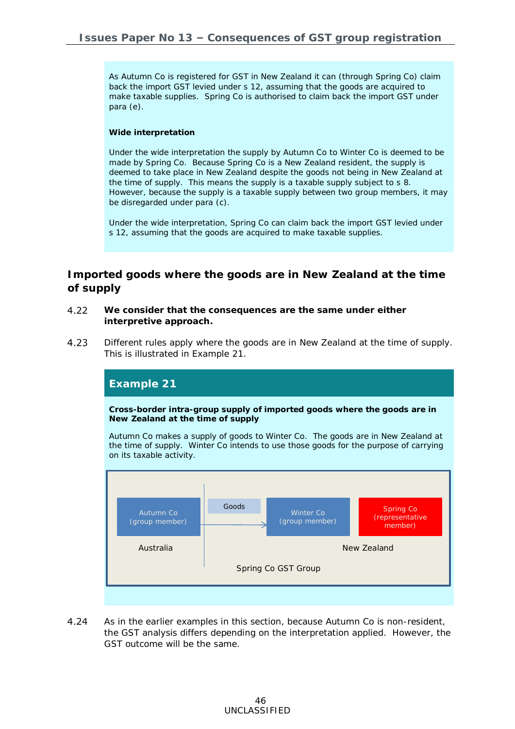As Autumn Co is registered for GST in New Zealand it can (through Spring Co) claim back the import GST levied under s 12, assuming that the goods are acquired to make taxable supplies. Spring Co is authorised to claim back the import GST under para (e).

#### *Wide interpretation*

Under the wide interpretation the supply by Autumn Co to Winter Co is deemed to be made by Spring Co. Because Spring Co is a New Zealand resident, the supply is deemed to take place in New Zealand despite the goods not being in New Zealand at the time of supply. This means the supply is a taxable supply subject to s 8. However, because the supply is a taxable supply between two group members, it may be disregarded under para (c).

Under the wide interpretation, Spring Co can claim back the import GST levied under s 12, assuming that the goods are acquired to make taxable supplies.

**Imported goods where the goods are in New Zealand at the time of supply**

- <span id="page-45-0"></span> $4.22$ **We consider that the consequences are the same under either interpretive approach.**
- 4.23 Different rules apply where the goods are in New Zealand at the time of supply. This is illustrated in Example 21.



 $4.24$ As in the earlier examples in this section, because Autumn Co is non-resident, the GST analysis differs depending on the interpretation applied. However, the GST outcome will be the same.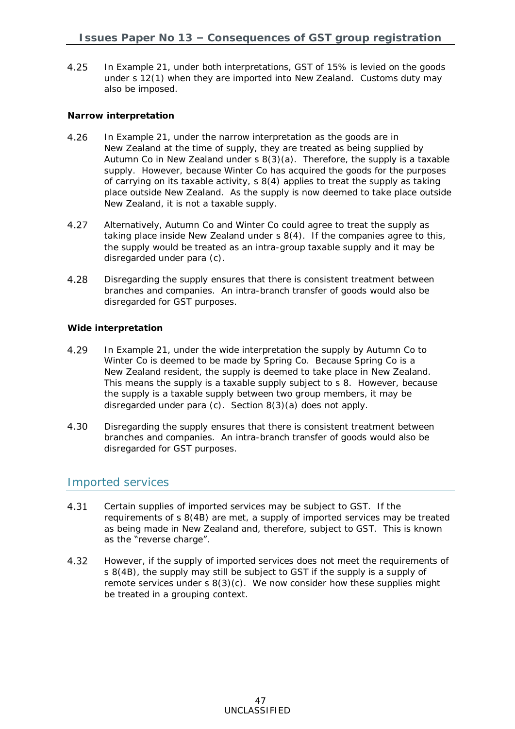$4.25$ In Example 21, under both interpretations, GST of 15% is levied on the goods under s 12(1) when they are imported into New Zealand. Customs duty may also be imposed.

#### *Narrow interpretation*

- 4.26 In Example 21, under the narrow interpretation as the goods are in New Zealand at the time of supply, they are treated as being supplied by Autumn Co in New Zealand under s 8(3)(a). Therefore, the supply is a taxable supply. However, because Winter Co has acquired the goods for the purposes of carrying on its taxable activity, s 8(4) applies to treat the supply as taking place outside New Zealand. As the supply is now deemed to take place outside .<br>New Zealand, it is not a taxable supply.
- Alternatively, Autumn Co and Winter Co could agree to treat the supply as 4.27 taking place inside New Zealand under  $s$  8(4). If the companies agree to this, the supply would be treated as an intra-group taxable supply and it may be disregarded under para (c).
- 4.28 Disregarding the supply ensures that there is consistent treatment between branches and companies. An intra-branch transfer of goods would also be disregarded for GST purposes.

#### *Wide interpretation*

- 4.29 In Example 21, under the wide interpretation the supply by Autumn Co to Winter Co is deemed to be made by Spring Co. Because Spring Co is a New Zealand resident, the supply is deemed to take place in New Zealand. This means the supply is a taxable supply subject to s 8. However, because the supply is a taxable supply between two group members, it may be disregarded under para (c). Section 8(3)(a) does not apply.
- 4.30 Disregarding the supply ensures that there is consistent treatment between branches and companies. An intra-branch transfer of goods would also be disregarded for GST purposes.

### Imported services

- Certain supplies of imported services may be subject to GST. If the 4.31 requirements of s 8(4B) are met, a supply of imported services may be treated as being made in New Zealand and, therefore, subject to GST. This is known as the "reverse charge".
- 4.32 However, if the supply of imported services does not meet the requirements of s 8(4B), the supply may still be subject to GST if the supply is a supply of remote services under s 8(3)(c). We now consider how these supplies might be treated in a grouping context.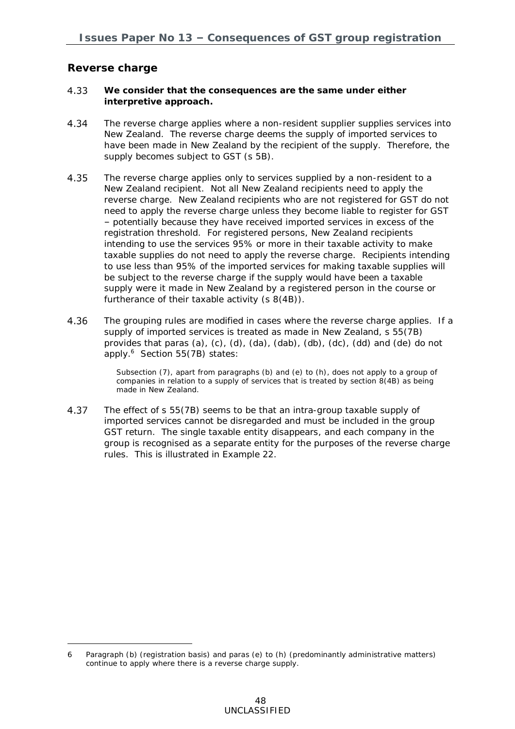**Reverse charge**

-

- <span id="page-47-0"></span>4.33 **We consider that the consequences are the same under either interpretive approach.**
- 4.34 The reverse charge applies where a non-resident supplier supplies services into New Zealand. The reverse charge deems the supply of imported services to have been made in New Zealand by the recipient of the supply. Therefore, the supply becomes subject to GST (s 5B).
- 4.35 The reverse charge applies only to services supplied by a non-resident to a New Zealand recipient. Not all New Zealand recipients need to apply the reverse charge. New Zealand recipients who are not registered for GST do not need to apply the reverse charge unless they become liable to register for GST – potentially because they have received imported services in excess of the registration threshold. For registered persons, New Zealand recipients intending to use the services 95% or more in their taxable activity to make taxable supplies do not need to apply the reverse charge. Recipients intending to use less than 95% of the imported services for making taxable supplies will be subject to the reverse charge if the supply would have been a taxable supply were it made in New Zealand by a registered person in the course or furtherance of their taxable activity (s 8(4B)).
- 4.36 The grouping rules are modified in cases where the reverse charge applies. If a supply of imported services is treated as made in New Zealand, s 55(7B) provides that paras (a), (c), (d), (da), (dab), (db), (dc), (dd) and (de) do not apply.<sup>6</sup> Section 55(7B) states:

Subsection [\(7\),](javascript:void(0)) apart from paragraphs (b) and (e) to (h), does not [apply](javascript:void(0)) to a group of companies in relation to a supply of [services](javascript:void(0)) that is treated by section [8\(4B\)](javascript:void(0)) as being made in New [Zealand.](javascript:void(0))

4.37 The effect of s 55(7B) seems to be that an intra-group taxable supply of imported services cannot be disregarded and must be included in the group GST return. The single taxable entity disappears, and each company in the group is recognised as a separate entity for the purposes of the reverse charge rules. This is illustrated in Example 22.

<sup>6</sup> Paragraph (b) (registration basis) and paras (e) to (h) (predominantly administrative matters) continue to apply where there is a reverse charge supply.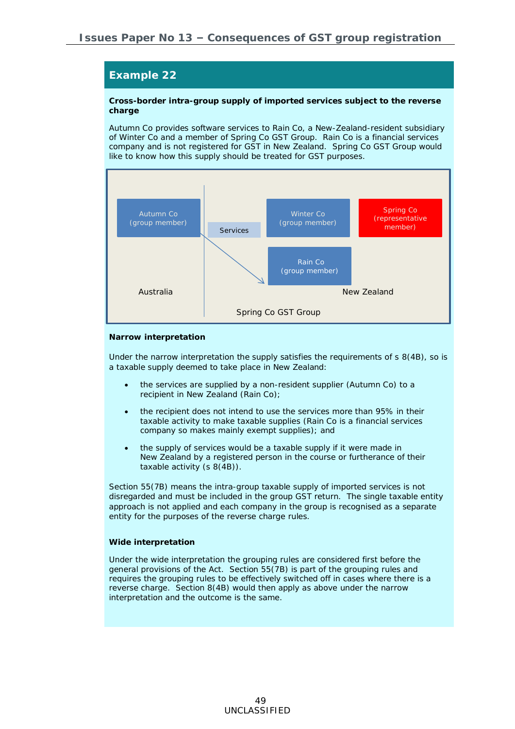**Cross-border intra-group supply of imported services subject to the reverse charge**

Autumn Co provides software services to Rain Co, a New-Zealand-resident subsidiary of Winter Co and a member of Spring Co GST Group. Rain Co is a financial services company and is not registered for GST in New Zealand. Spring Co GST Group would like to know how this supply should be treated for GST purposes.



#### *Narrow interpretation*

Under the narrow interpretation the supply satisfies the requirements of s 8(4B), so is a taxable supply deemed to take place in New Zealand:

- the services are supplied by a non-resident supplier (Autumn Co) to a recipient in New Zealand (Rain Co);
- the recipient does not intend to use the services more than 95% in their taxable activity to make taxable supplies (Rain Co is a financial services company so makes mainly exempt supplies); and
- the supply of services would be a taxable supply if it were made in New Zealand by a registered person in the course or furtherance of their taxable activity (s 8(4B)).

Section 55(7B) means the intra-group taxable supply of imported services is not disregarded and must be included in the group GST return. The single taxable entity approach is not applied and each company in the group is recognised as a separate entity for the purposes of the reverse charge rules.

#### *Wide interpretation*

Under the wide interpretation the grouping rules are considered first before the general provisions of the Act. Section 55(7B) is part of the grouping rules and requires the grouping rules to be effectively switched off in cases where there is a reverse charge. Section 8(4B) would then apply as above under the narrow interpretation and the outcome is the same.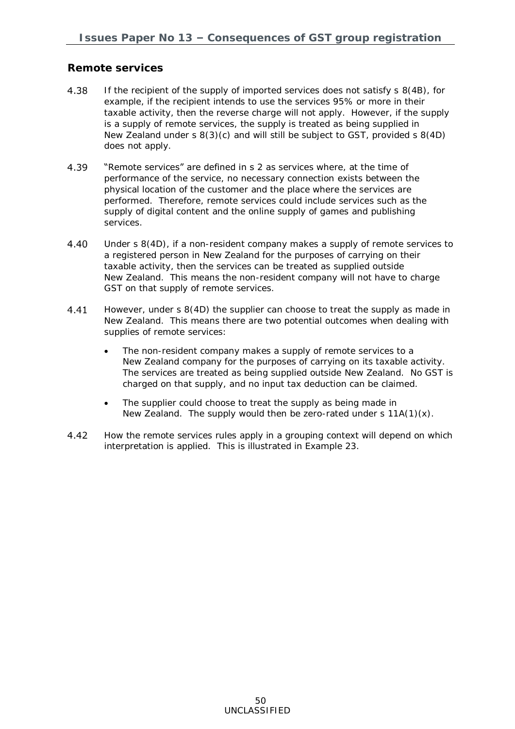### **Remote services**

- <span id="page-49-0"></span>4.38 If the recipient of the supply of imported services does not satisfy s 8(4B), for example, if the recipient intends to use the services 95% or more in their taxable activity, then the reverse charge will not apply. However, if the supply is a supply of remote services, the supply is treated as being supplied in New Zealand under s 8(3)(c) and will still be subject to GST, provided s 8(4D) does not apply.
- "Remote services" are defined in s 2 as services where, at the time of 4.39 performance of the service, no necessary connection exists between the physical location of the customer and the place where the services are performed. Therefore, remote services could include services such as the supply of digital content and the online supply of games and publishing services.
- $4.40$ Under s 8(4D), if a non-resident company makes a supply of remote services to a registered person in New Zealand for the purposes of carrying on their taxable activity, then the services can be treated as supplied outside New Zealand. This means the non-resident company will not have to charge GST on that supply of remote services.
- 4.41 However, under s 8(4D) the supplier can choose to treat the supply as made in New Zealand. This means there are two potential outcomes when dealing with supplies of remote services:
	- The non-resident company makes a supply of remote services to a New Zealand company for the purposes of carrying on its taxable activity. The services are treated as being supplied outside New Zealand. No GST is charged on that supply, and no input tax deduction can be claimed.
	- The supplier could choose to treat the supply as being made in New Zealand. The supply would then be zero-rated under s  $11A(1)(x)$ .
- 4.42 How the remote services rules apply in a grouping context will depend on which interpretation is applied. This is illustrated in Example 23.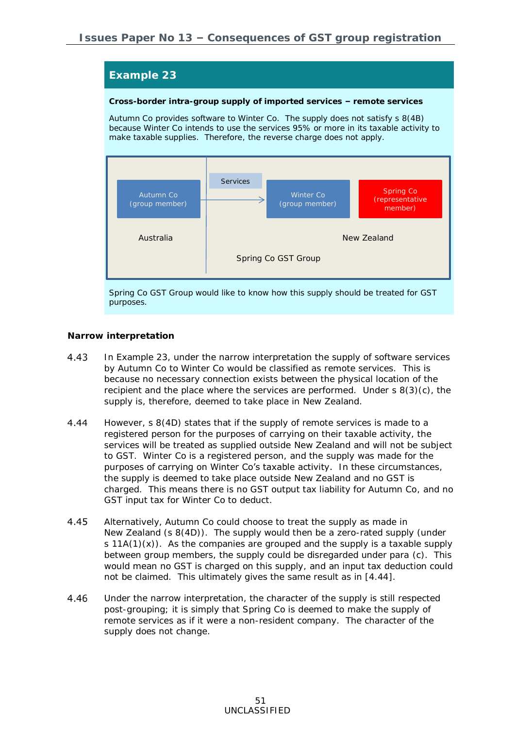**Cross-border intra-group supply of imported services – remote services**

Autumn Co provides software to Winter Co. The supply does not satisfy s 8(4B) because Winter Co intends to use the services 95% or more in its taxable activity to make taxable supplies. Therefore, the reverse charge does not apply.



Spring Co GST Group would like to know how this supply should be treated for GST purposes.

#### *Narrow interpretation*

- 4.43 In Example 23, under the narrow interpretation the supply of software services by Autumn Co to Winter Co would be classified as remote services. This is because no necessary connection exists between the physical location of the recipient and the place where the services are performed. Under  $s \cdot 8(3)(c)$ , the supply is, therefore, deemed to take place in New Zealand.
- <span id="page-50-0"></span>4.44 However, s 8(4D) states that if the supply of remote services is made to a registered person for the purposes of carrying on their taxable activity, the services will be treated as supplied outside New Zealand and will not be subject to GST. Winter Co is a registered person, and the supply was made for the purposes of carrying on Winter Co's taxable activity. In these circumstances, the supply is deemed to take place outside New Zealand and no GST is charged. This means there is no GST output tax liability for Autumn Co, and no GST input tax for Winter Co to deduct.
- 4.45 Alternatively, Autumn Co could choose to treat the supply as made in New Zealand (s 8(4D)). The supply would then be a zero-rated supply (under s  $11A(1)(x)$ . As the companies are grouped and the supply is a taxable supply between group members, the supply could be disregarded under para (c). This would mean no GST is charged on this supply, and an input tax deduction could not be claimed. This ultimately gives the same result as in [\[4.44\]](#page-50-0).
- 4.46 Under the narrow interpretation, the character of the supply is still respected post-grouping; it is simply that Spring Co is deemed to make the supply of remote services as if it were a non-resident company. The character of the supply does not change.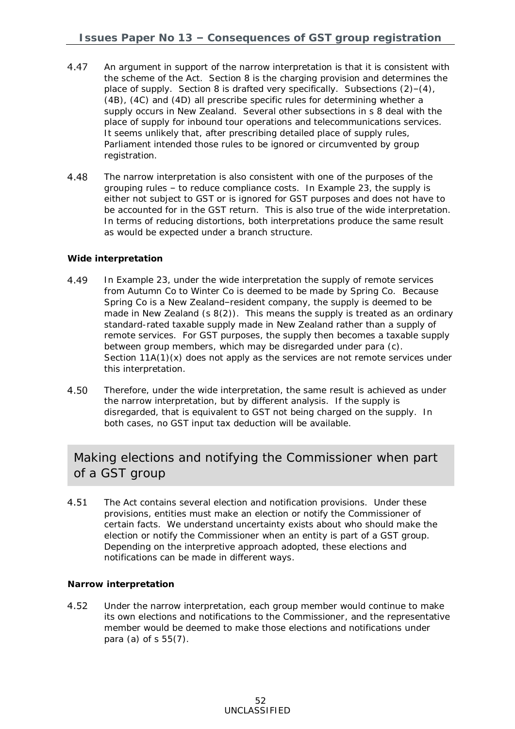- 4.47 An argument in support of the narrow interpretation is that it is consistent with the scheme of the Act. Section 8 is the charging provision and determines the place of supply. Section 8 is drafted very specifically. Subsections (2)–(4), (4B), (4C) and (4D) all prescribe specific rules for determining whether a supply occurs in New Zealand. Several other subsections in s 8 deal with the place of supply for inbound tour operations and telecommunications services. It seems unlikely that, after prescribing detailed place of supply rules, Parliament intended those rules to be ignored or circumvented by group registration.
- 4.48 The narrow interpretation is also consistent with one of the purposes of the grouping rules – to reduce compliance costs. In Example 23, the supply is either not subject to GST or is ignored for GST purposes and does not have to be accounted for in the GST return. This is also true of the wide interpretation. In terms of reducing distortions, both interpretations produce the same result as would be expected under a branch structure.

#### *Wide interpretation*

- 4.49 In Example 23, under the wide interpretation the supply of remote services from Autumn Co to Winter Co is deemed to be made by Spring Co. Because Spring Co is a New Zealand–resident company, the supply is deemed to be made in New Zealand (s 8(2)). This means the supply is treated as an ordinary standard-rated taxable supply made in New Zealand rather than a supply of remote services. For GST purposes, the supply then becomes a taxable supply between group members, which may be disregarded under para (c). Section  $11A(1)(x)$  does not apply as the services are not remote services under this interpretation.
- 4.50 Therefore, under the wide interpretation, the same result is achieved as under the narrow interpretation, but by different analysis. If the supply is disregarded, that is equivalent to GST not being charged on the supply. In both cases, no GST input tax deduction will be available.

## Making elections and notifying the Commissioner when part of a GST group

<span id="page-51-0"></span> $4.51$ The Act contains several election and notification provisions. Under these provisions, entities must make an election or notify the Commissioner of certain facts. We understand uncertainty exists about who should make the election or notify the Commissioner when an entity is part of a GST group. Depending on the interpretive approach adopted, these elections and notifications can be made in different ways.

#### *Narrow interpretation*

4.52 Under the narrow interpretation, each group member would continue to make its own elections and notifications to the Commissioner, and the representative member would be deemed to make those elections and notifications under para (a) of s 55(7).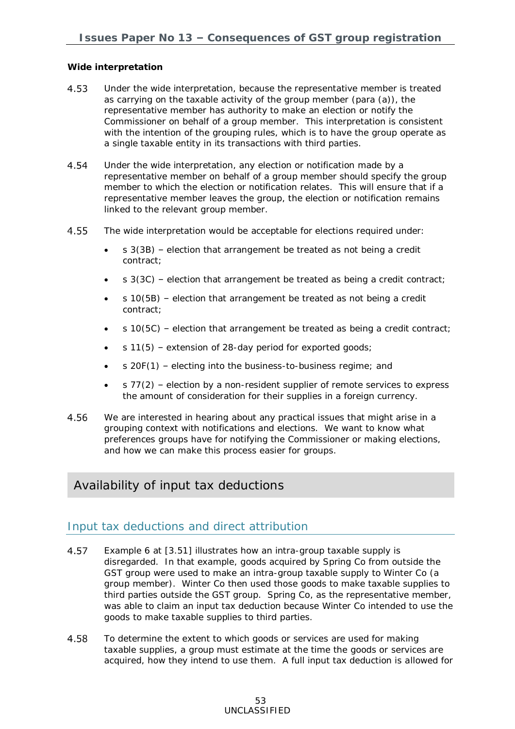#### *Wide interpretation*

- 4.53 Under the wide interpretation, because the representative member is treated as carrying on the taxable activity of the group member (para (a)), the representative member has authority to make an election or notify the Commissioner on behalf of a group member. This interpretation is consistent with the intention of the grouping rules, which is to have the group operate as a single taxable entity in its transactions with third parties.
- 4.54 Under the wide interpretation, any election or notification made by a representative member on behalf of a group member should specify the group member to which the election or notification relates. This will ensure that if a representative member leaves the group, the election or notification remains linked to the relevant group member.
- 4.55 The wide interpretation would be acceptable for elections required under:
	- $s$  3(3B) election that arrangement be treated as not being a credit contract;
	- s 3(3C) election that arrangement be treated as being a credit contract;
	- s 10(5B) election that arrangement be treated as not being a credit contract;
	- s 10(5C) election that arrangement be treated as being a credit contract;
	- s 11(5) extension of 28-day period for exported goods;
	- s 20F(1) electing into the business-to-business regime; and
	- $\bullet$  s 77(2) election by a non-resident supplier of remote services to express the amount of consideration for their supplies in a foreign currency.
- 4.56 We are interested in hearing about any practical issues that might arise in a grouping context with notifications and elections. We want to know what preferences groups have for notifying the Commissioner or making elections, and how we can make this process easier for groups.

## Availability of input tax deductions

### Input tax deductions and direct attribution

- <span id="page-52-0"></span>4.57 Example 6 at [\[3.51\]](#page-23-0) illustrates how an intra-group taxable supply is disregarded. In that example, goods acquired by Spring Co from outside the GST group were used to make an intra-group taxable supply to Winter Co (a group member). Winter Co then used those goods to make taxable supplies to third parties outside the GST group. Spring Co, as the representative member, was able to claim an input tax deduction because Winter Co intended to use the goods to make taxable supplies to third parties.
- 4.58 To determine the extent to which goods or services are used for making taxable supplies, a group must estimate at the time the goods or services are acquired, how they intend to use them. A full input tax deduction is allowed for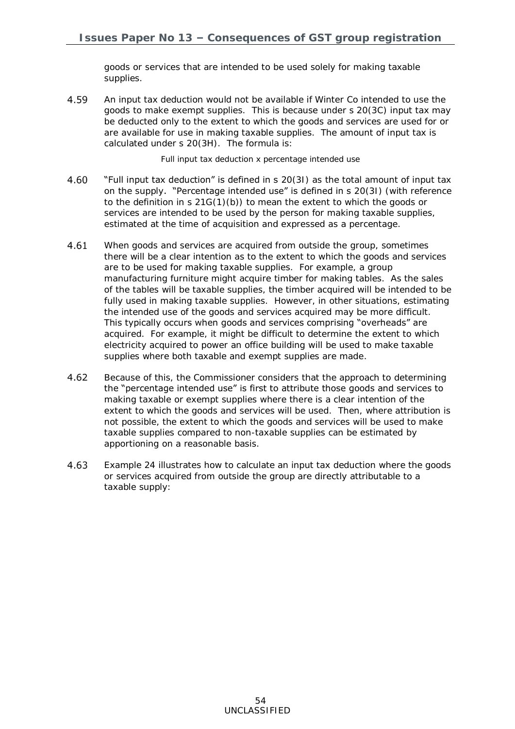goods or services that are intended to be used solely for making taxable supplies.

4.59 An input tax deduction would not be available if Winter Co intended to use the goods to make exempt supplies. This is because under s 20(3C) input tax may be deducted only to the extent to which the goods and services are used for or are available for use in making taxable supplies. The amount of input tax is calculated under s 20(3H). The formula is:

Full input tax deduction x percentage intended use

- 4.60 "Full input tax deduction" is defined in s 20(3I) as the total amount of input tax on the supply. "Percentage intended use" is defined in s 20(3I) (with reference to the definition in s 21G(1)(b)) to mean the extent to which the goods or services are intended to be used by the person for making taxable supplies, estimated at the time of acquisition and expressed as a percentage.
- <span id="page-53-0"></span>4.61 When goods and services are acquired from outside the group, sometimes there will be a clear intention as to the extent to which the goods and services are to be used for making taxable supplies. For example, a group manufacturing furniture might acquire timber for making tables. As the sales of the tables will be taxable supplies, the timber acquired will be intended to be fully used in making taxable supplies. However, in other situations, estimating the intended use of the goods and services acquired may be more difficult. This typically occurs when goods and services comprising "overheads" are acquired. For example, it might be difficult to determine the extent to which electricity acquired to power an office building will be used to make taxable supplies where both taxable and exempt supplies are made.
- 4.62 Because of this, the Commissioner considers that the approach to determining the "percentage intended use" is first to attribute those goods and services to making taxable or exempt supplies where there is a clear intention of the extent to which the goods and services will be used. Then, where attribution is not possible, the extent to which the goods and services will be used to make taxable supplies compared to non-taxable supplies can be estimated by apportioning on a reasonable basis.
- 4.63 Example 24 illustrates how to calculate an input tax deduction where the goods or services acquired from outside the group are directly attributable to a taxable supply: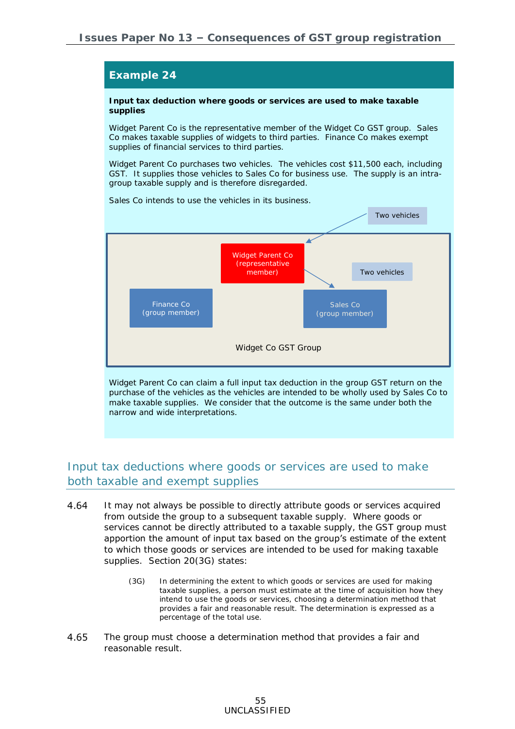

make taxable supplies. We consider that the outcome is the same under both the narrow and wide interpretations.

## Input tax deductions where goods or services are used to make both taxable and exempt supplies

- 4.64 It may not always be possible to directly attribute goods or services acquired from outside the group to a subsequent taxable supply. Where goods or services cannot be directly attributed to a taxable supply, the GST group must apportion the amount of input tax based on the group's estimate of the extent to which those goods or services are intended to be used for making taxable supplies. Section 20(3G) states:
	- (3G) In determining the extent to which goods or services are used for making taxable supplies, a person must estimate at the time of acquisition how they intend to use the goods or services, choosing a determination method that provides a fair and reasonable result. The determination is expressed as a percentage of the total use.
- 4.65 The group must choose a determination method that provides a fair and reasonable result.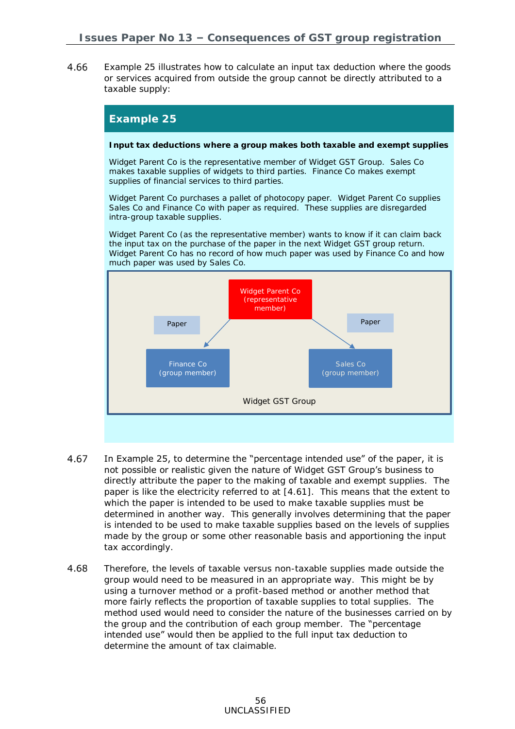4.66 Example 25 illustrates how to calculate an input tax deduction where the goods or services acquired from outside the group cannot be directly attributed to a taxable supply:

#### **Example 25**

**Input tax deductions where a group makes both taxable and exempt supplies**

Widget Parent Co is the representative member of Widget GST Group. Sales Co makes taxable supplies of widgets to third parties. Finance Co makes exempt supplies of financial services to third parties.

Widget Parent Co purchases a pallet of photocopy paper. Widget Parent Co supplies Sales Co and Finance Co with paper as required. These supplies are disregarded intra-group taxable supplies.

Widget Parent Co (as the representative member) wants to know if it can claim back the input tax on the purchase of the paper in the next Widget GST group return. Widget Parent Co has no record of how much paper was used by Finance Co and how much paper was used by Sales Co.



- 4.67 In Example 25, to determine the "percentage intended use" of the paper, it is not possible or realistic given the nature of Widget GST Group's business to directly attribute the paper to the making of taxable and exempt supplies. The paper is like the electricity referred to at [\[4.61\]](#page-53-0). This means that the extent to which the paper is intended to be used to make taxable supplies must be determined in another way. This generally involves determining that the paper is intended to be used to make taxable supplies based on the levels of supplies made by the group or some other reasonable basis and apportioning the input tax accordingly.
- 4.68 Therefore, the levels of taxable versus non-taxable supplies made outside the group would need to be measured in an appropriate way. This might be by using a turnover method or a profit-based method or another method that more fairly reflects the proportion of taxable supplies to total supplies. The method used would need to consider the nature of the businesses carried on by the group and the contribution of each group member. The "percentage" intended use" would then be applied to the full input tax deduction to determine the amount of tax claimable.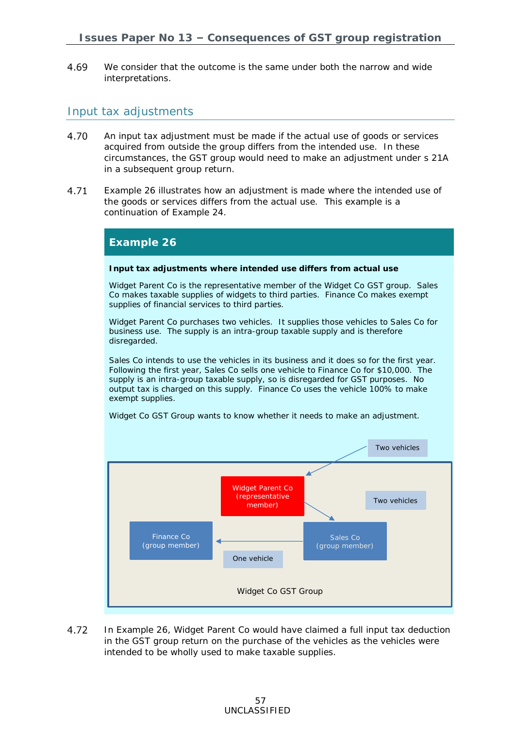4.69 We consider that the outcome is the same under both the narrow and wide interpretations.

### Input tax adjustments

- 4.70 An input tax adjustment must be made if the actual use of goods or services acquired from outside the group differs from the intended use. In these circumstances, the GST group would need to make an adjustment under s 21A in a subsequent group return.
- 4.71 Example 26 illustrates how an adjustment is made where the intended use of the goods or services differs from the actual use. This example is a continuation of Example 24.

#### **Example 26**

**Input tax adjustments where intended use differs from actual use**

Widget Parent Co is the representative member of the Widget Co GST group. Sales Co makes taxable supplies of widgets to third parties. Finance Co makes exempt supplies of financial services to third parties.

Widget Parent Co purchases two vehicles. It supplies those vehicles to Sales Co for business use. The supply is an intra-group taxable supply and is therefore disregarded.

Sales Co intends to use the vehicles in its business and it does so for the first year. Following the first year, Sales Co sells one vehicle to Finance Co for \$10,000. The supply is an intra-group taxable supply, so is disregarded for GST purposes. No output tax is charged on this supply. Finance Co uses the vehicle 100% to make exempt supplies.



Widget Co GST Group wants to know whether it needs to make an adjustment.

4.72 In Example 26, Widget Parent Co would have claimed a full input tax deduction in the GST group return on the purchase of the vehicles as the vehicles were intended to be wholly used to make taxable supplies.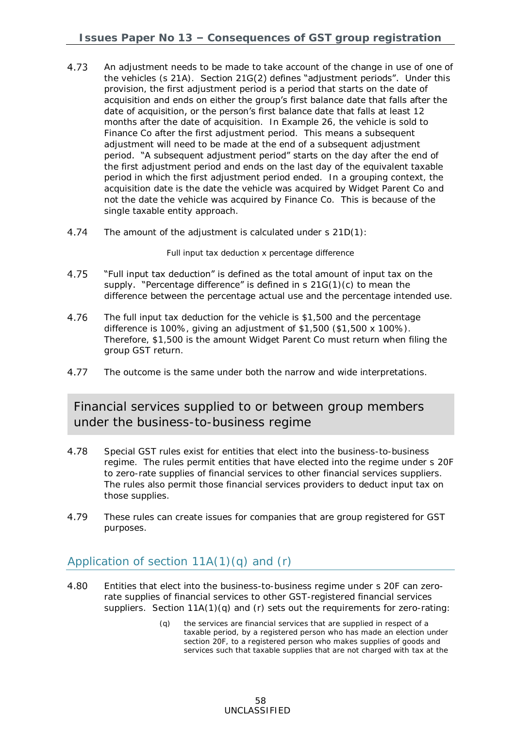- 4.73 An adjustment needs to be made to take account of the change in use of one of the vehicles (s 21A). Section 21G(2) defines "adjustment periods". Under this provision, the first adjustment period is a period that starts on the date of acquisition and ends on either the group's first balance date that falls after the date of acquisition, or the person's first balance date that falls at least 12 months after the date of acquisition. In Example 26, the vehicle is sold to Finance Co after the first adjustment period. This means a subsequent adjustment will need to be made at the end of a subsequent adjustment period. "A subsequent adjustment period" starts on the day after the end of the first adjustment period and ends on the last day of the equivalent taxable period in which the first adjustment period ended. In a grouping context, the acquisition date is the date the vehicle was acquired by Widget Parent Co and not the date the vehicle was acquired by Finance Co. This is because of the single taxable entity approach.
- 4.74 The amount of the adjustment is calculated under s 21D(1):

Full input tax deduction x percentage difference

- 4.75 "Full input tax deduction" is defined as the total amount of input tax on the supply. "Percentage difference" is defined in  $s$  21G(1)(c) to mean the difference between the percentage actual use and the percentage intended use.
- 4.76 The full input tax deduction for the vehicle is \$1,500 and the percentage difference is 100%, giving an adjustment of \$1,500 (\$1,500 x 100%). Therefore, \$1,500 is the amount Widget Parent Co must return when filing the group GST return.
- 4.77 The outcome is the same under both the narrow and wide interpretations.

## Financial services supplied to or between group members under the business-to-business regime

- <span id="page-57-0"></span>4.78 Special GST rules exist for entities that elect into the business-to-business regime. The rules permit entities that have elected into the regime under s 20F to zero-rate supplies of financial services to other financial services suppliers. The rules also permit those financial services providers to deduct input tax on those supplies.
- 4.79 These rules can create issues for companies that are group registered for GST purposes.

## Application of section  $11A(1)(q)$  and  $(r)$

- 4.80 Entities that elect into the business-to-business regime under s 20F can zerorate supplies of financial services to other GST-registered financial services suppliers. Section  $11A(1)(q)$  and (r) sets out the requirements for zero-rating:
	- (q) the [services](javascript:void(0)) are financial [services](javascript:void(0)) that are supplied in respect of a [taxable period,](javascript:void(0)) by a [registered person](javascript:void(0)) who has made an election under section [20F,](javascript:void(0)) to a [registered person](javascript:void(0)) who makes supplies of [goods](javascript:void(0)) and [services](javascript:void(0)) such that taxable supplies that are not charged with [tax](javascript:void(0)) at the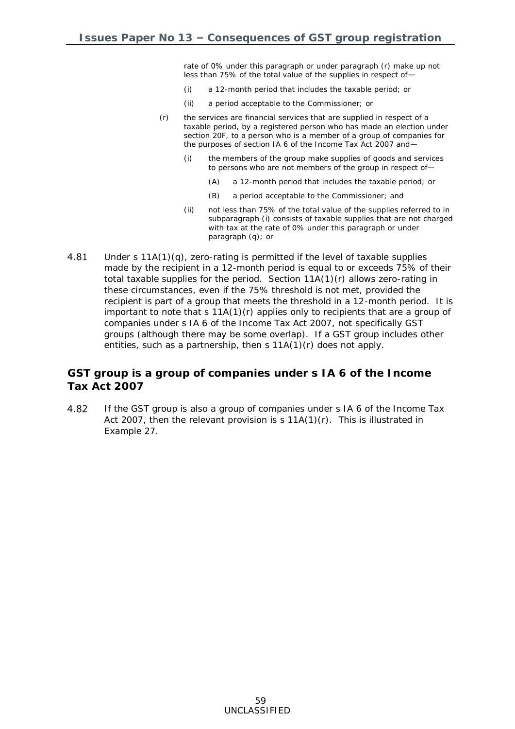rate of 0% under this paragraph or under paragraph (r) make up not less than 75% of the total value of the supplies in respect of—

- (i) a 12-month period that includes the [taxable period;](javascript:void(0)) or
- (ii) a period acceptable to the [Commissioner;](javascript:void(0)) or
- (r) the [services](javascript:void(0)) are financial [services](javascript:void(0)) that are supplied in respect of a [taxable period,](javascript:void(0)) by a [registered person](javascript:void(0)) who has made an election under section [20F,](javascript:void(0)) to a [person](javascript:void(0)) who is a [member](javascript:void(0)) of a group of companies for the purposes of section [IA 6](javascript:void(0)) of the Income Tax Act 2007 and—
	- (i) the members of the group make supplies of [goods](javascript:void(0)) and [services](javascript:void(0)) to persons who are not members of the group in respect of—
		- (A) a 12-month period that includes the [taxable period;](javascript:void(0)) or
		- (B) a period acceptable to the [Commissioner;](javascript:void(0)) and
	- (ii) not less than 75% of the total value of the supplies referred to in subparagraph (i) consists of taxable supplies that are not charged with [tax](javascript:void(0)) at the rate of 0% under this paragraph or under paragraph (q); or
- 4.81 Under s 11A(1)(q), zero-rating is permitted if the level of taxable supplies made by the recipient in a 12-month period is equal to or exceeds 75% of their total taxable supplies for the period. Section  $11A(1)(r)$  allows zero-rating in these circumstances, even if the 75% threshold is not met, provided the recipient is part of a group that meets the threshold in a 12-month period. It is important to note that s 11A(1)(r) applies only to recipients that are a group of companies under s IA 6 of the Income Tax Act 2007, not specifically GST groups (although there may be some overlap). If a GST group includes other entities, such as a partnership, then s 11A(1)(r) does not apply.

### **GST group is a group of companies under s IA 6 of the Income Tax Act 2007**

4.82 If the GST group is also a group of companies under s IA 6 of the Income Tax Act 2007, then the relevant provision is  $s 11A(1)(r)$ . This is illustrated in Example 27.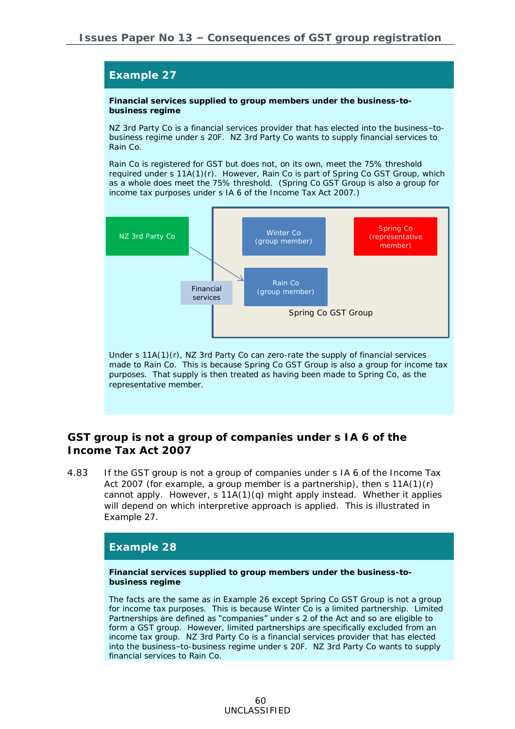**Financial services supplied to group members under the business-to-**



**GST group is not a group of companies under s IA 6 of the Income Tax Act 2007**

4.83 If the GST group is not a group of companies under s IA 6 of the Income Tax Act 2007 (for example, a group member is a partnership), then  $s$  11A(1)(r) cannot apply. However,  $s 11A(1)(q)$  might apply instead. Whether it applies will depend on which interpretive approach is applied. This is illustrated in Example 27.

### **Example 28**

**Example 27**

**business regime**

**Financial services supplied to group members under the business-tobusiness regime**

The facts are the same as in Example 26 except Spring Co GST Group is not a group for income tax purposes. This is because Winter Co is a limited partnership. Limited Partnerships are defined as "companies" under s 2 of the Act and so are eligible to form a GST group. However, limited partnerships are specifically excluded from an income tax group. NZ 3rd Party Co is a financial services provider that has elected into the business–to-business regime under s 20F. NZ 3rd Party Co wants to supply financial services to Rain Co.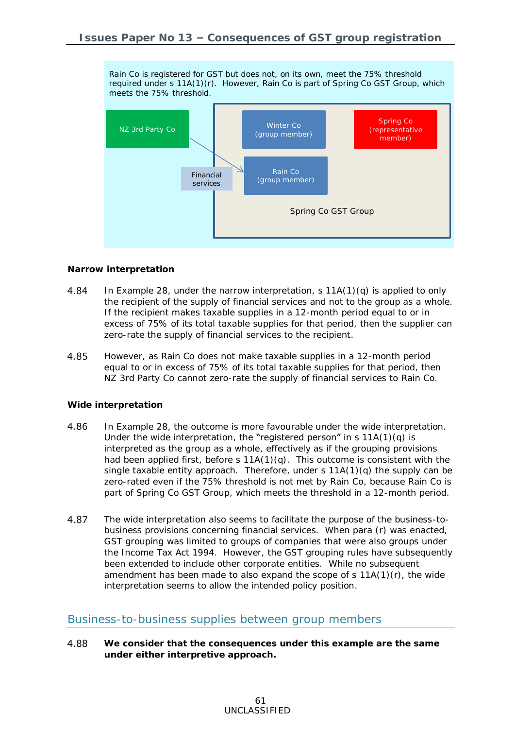Rain Co is registered for GST but does not, on its own, meet the 75% threshold required under s 11A(1)(r). However, Rain Co is part of Spring Co GST Group, which meets the 75% threshold.



#### *Narrow interpretation*

- In Example 28, under the narrow interpretation, s 11A(1)(q) is applied to only 4.84 the recipient of the supply of financial services and not to the group as a whole. If the recipient makes taxable supplies in a 12-month period equal to or in excess of 75% of its total taxable supplies for that period, then the supplier can zero-rate the supply of financial services to the recipient.
- 4.85 However, as Rain Co does not make taxable supplies in a 12-month period equal to or in excess of 75% of its total taxable supplies for that period, then NZ 3rd Party Co cannot zero-rate the supply of financial services to Rain Co.

#### *Wide interpretation*

- 4.86 In Example 28, the outcome is more favourable under the wide interpretation. Under the wide interpretation, the "registered person" in s  $11A(1)(q)$  is interpreted as the group as a whole, effectively as if the grouping provisions had been applied first, before s 11A(1)(q). This outcome is consistent with the single taxable entity approach. Therefore, under s 11A(1)(q) the supply can be zero-rated even if the 75% threshold is not met by Rain Co, because Rain Co is part of Spring Co GST Group, which meets the threshold in a 12-month period.
- 4.87 The wide interpretation also seems to facilitate the purpose of the business-tobusiness provisions concerning financial services. When para (r) was enacted, GST grouping was limited to groups of companies that were also groups under the Income Tax Act 1994. However, the GST grouping rules have subsequently been extended to include other corporate entities. While no subsequent amendment has been made to also expand the scope of  $s$  11A(1)(r), the wide interpretation seems to allow the intended policy position.

### Business-to-business supplies between group members

4.88 **We consider that the consequences under this example are the same under either interpretive approach.**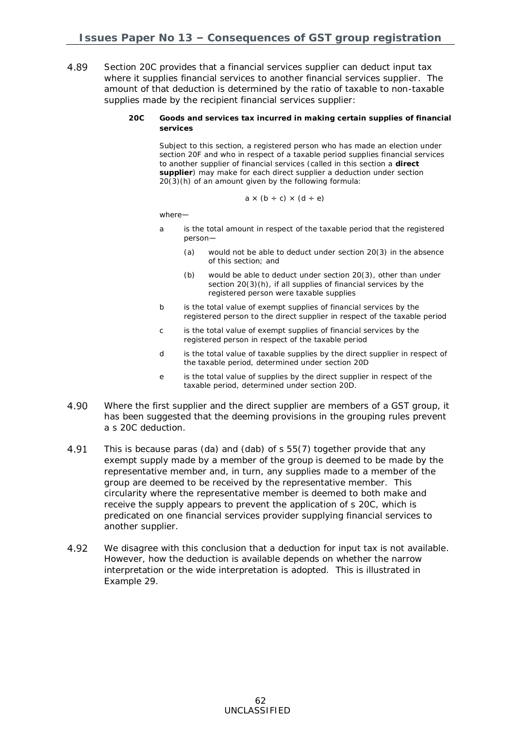- 4.89 Section 20C provides that a financial services supplier can deduct input tax where it supplies financial services to another financial services supplier. The amount of that deduction is determined by the ratio of taxable to non-taxable supplies made by the recipient financial services supplier:
	- **20C Goods and services tax incurred in making certain supplies of financial services**

Subject to this section, a registered person who has made an election under [section 20F](http://www.legislation.govt.nz/act/public/1985/0141/latest/link.aspx?search=ts_act%40bill%40regulation%40deemedreg_goods+and+services+tax+_resel_25_a&p=1&id=DLM83894#DLM83894) and who in respect of a taxable period supplies financial services to another supplier of financial services (called in this section a **direct supplier**) may make for each direct supplier a deduction under [section](http://www.legislation.govt.nz/act/public/1985/0141/latest/link.aspx?search=ts_act%40bill%40regulation%40deemedreg_goods+and+services+tax+_resel_25_a&p=1&id=DLM83479#DLM83479)  [20\(3\)\(h\)](http://www.legislation.govt.nz/act/public/1985/0141/latest/link.aspx?search=ts_act%40bill%40regulation%40deemedreg_goods+and+services+tax+_resel_25_a&p=1&id=DLM83479#DLM83479) of an amount given by the following formula:

$$
a \times (b \div c) \times (d \div e)
$$

where—

- a is the total amount in respect of the taxable period that the registered person—
	- (a) would not be able to deduct under [section 20\(3\)](http://www.legislation.govt.nz/act/public/1985/0141/latest/link.aspx?search=ts_act%40bill%40regulation%40deemedreg_goods+and+services+tax+_resel_25_a&p=1&id=DLM83479#DLM83479) in the absence of this section; and
	- (b) would be able to deduct under [section 20\(3\),](http://www.legislation.govt.nz/act/public/1985/0141/latest/link.aspx?search=ts_act%40bill%40regulation%40deemedreg_goods+and+services+tax+_resel_25_a&p=1&id=DLM83479#DLM83479) other than under section 20(3)(h), if all supplies of financial services by the registered person were taxable supplies
- b is the total value of exempt supplies of financial services by the registered person to the direct supplier in respect of the taxable period
- c is the total value of exempt supplies of financial services by the registered person in respect of the taxable period
- d is the total value of taxable supplies by the direct supplier in respect of the taxable period, determined under [section 20D](http://www.legislation.govt.nz/act/public/1985/0141/latest/link.aspx?search=ts_act%40bill%40regulation%40deemedreg_goods+and+services+tax+_resel_25_a&p=1&id=DLM83890#DLM83890)
- e is the total value of supplies by the direct supplier in respect of the taxable period, determined under [section 20D.](http://www.legislation.govt.nz/act/public/1985/0141/latest/link.aspx?search=ts_act%40bill%40regulation%40deemedreg_goods+and+services+tax+_resel_25_a&p=1&id=DLM83890#DLM83890)
- 4.90 Where the first supplier and the direct supplier are members of a GST group, it has been suggested that the deeming provisions in the grouping rules prevent a s 20C deduction.
- 4.91 This is because paras (da) and (dab) of s 55(7) together provide that any exempt supply made by a member of the group is deemed to be made by the representative member and, in turn, any supplies made to a member of the group are deemed to be received by the representative member. This circularity where the representative member is deemed to both make and receive the supply appears to prevent the application of s 20C, which is predicated on one financial services provider supplying financial services to another supplier.
- 4.92 We disagree with this conclusion that a deduction for input tax is not available. However, how the deduction is available depends on whether the narrow interpretation or the wide interpretation is adopted. This is illustrated in Example 29.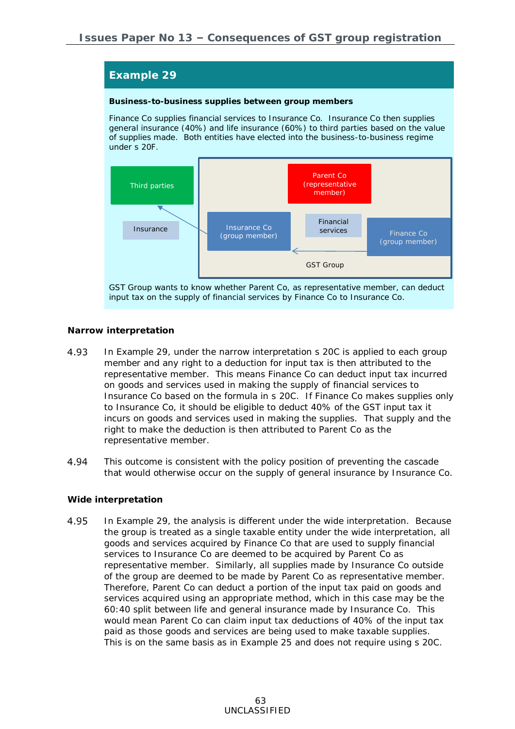**Business-to-business supplies between group members**

Finance Co supplies financial services to Insurance Co. Insurance Co then supplies general insurance (40%) and life insurance (60%) to third parties based on the value of supplies made. Both entities have elected into the business-to-business regime under s 20F.



GST Group wants to know whether Parent Co, as representative member, can deduct input tax on the supply of financial services by Finance Co to Insurance Co.

#### *Narrow interpretation*

- In Example 29, under the narrow interpretation s 20C is applied to each group 4.93 member and any right to a deduction for input tax is then attributed to the representative member. This means Finance Co can deduct input tax incurred on goods and services used in making the supply of financial services to Insurance Co based on the formula in s 20C. If Finance Co makes supplies only to Insurance Co, it should be eligible to deduct 40% of the GST input tax it incurs on goods and services used in making the supplies. That supply and the right to make the deduction is then attributed to Parent Co as the representative member.
- 4.94 This outcome is consistent with the policy position of preventing the cascade that would otherwise occur on the supply of general insurance by Insurance Co.

#### *Wide interpretation*

4.95 In Example 29, the analysis is different under the wide interpretation. Because the group is treated as a single taxable entity under the wide interpretation, all goods and services acquired by Finance Co that are used to supply financial services to Insurance Co are deemed to be acquired by Parent Co as representative member. Similarly, all supplies made by Insurance Co outside of the group are deemed to be made by Parent Co as representative member. Therefore, Parent Co can deduct a portion of the input tax paid on goods and services acquired using an appropriate method, which in this case may be the 60:40 split between life and general insurance made by Insurance Co. This would mean Parent Co can claim input tax deductions of 40% of the input tax paid as those goods and services are being used to make taxable supplies. This is on the same basis as in Example 25 and does not require using s 20C.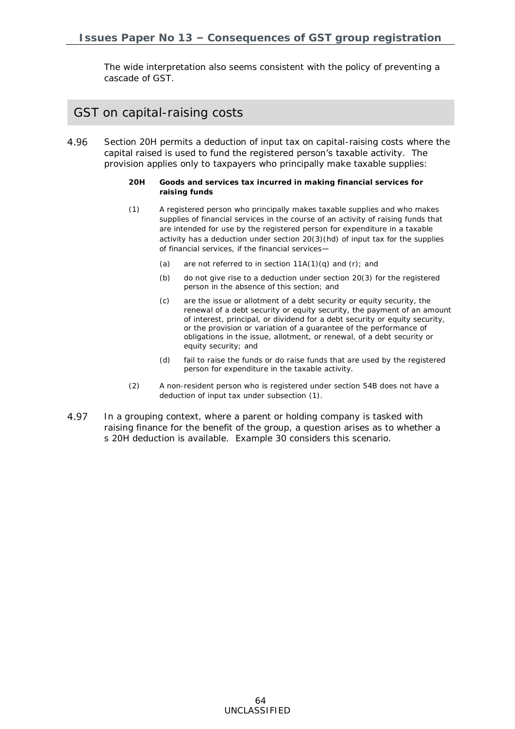The wide interpretation also seems consistent with the policy of preventing a cascade of GST.

## GST on capital-raising costs

- <span id="page-63-0"></span>4.96 Section 20H permits a deduction of input tax on capital-raising costs where the capital raised is used to fund the registered person's taxable activity. The provision applies only to taxpayers who principally make taxable supplies:
	- **20H Goods and services tax incurred in making financial services for raising funds**
	- (1) A [registered person](javascript:void(0)) who principally makes taxable supplies and who makes supplies of financial [services](javascript:void(0)) in the course of an activity of raising funds that are intended for use by the [registered person](javascript:void(0)) for expenditure in a taxable activity has a deduction under section [20\(3\)\(hd\)](javascript:void(0)) of [input tax](javascript:void(0)) for the supplies of financial [services,](javascript:void(0)) if the financial services—
		- (a) are not referred to in section  $11A(1)(q)$  and  $(r)$ ; and
		- (b) do not give rise to a deduction under section [20\(3\)](javascript:void(0)) for the [registered](javascript:void(0))  [person](javascript:void(0)) in the absence of this section; and
		- (c) are the issue or allotment of a debt security or equity security, the renewal of a debt security or equity security, the payment of an amount of interest, principal, or dividend for a debt security or equity security, or the provision or variation of a guarantee of the performance of obligations in the issue, allotment, or renewal, of a debt security or equity security; and
		- (d) fail to raise the funds or do raise funds that are used by the [registered](javascript:void(0))  [person](javascript:void(0)) for expenditure in the taxable activity.
	- (2) A [non-resident](javascript:void(0)) [person](javascript:void(0)) who is registered under section [54B](javascript:void(0)) does not have a deduction of [input tax](javascript:void(0)) under subsection [\(1\).](javascript:void(0))
- 4.97 In a grouping context, where a parent or holding company is tasked with raising finance for the benefit of the group, a question arises as to whether a s 20H deduction is available. Example 30 considers this scenario.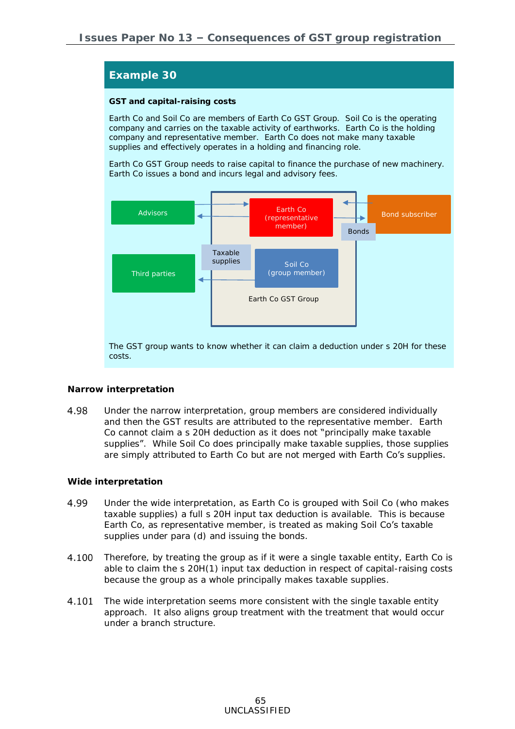#### **GST and capital-raising costs**

Earth Co and Soil Co are members of Earth Co GST Group. Soil Co is the operating company and carries on the taxable activity of earthworks. Earth Co is the holding company and representative member. Earth Co does not make many taxable supplies and effectively operates in a holding and financing role.

Earth Co GST Group needs to raise capital to finance the purchase of new machinery. Earth Co issues a bond and incurs legal and advisory fees.



The GST group wants to know whether it can claim a deduction under s 20H for these costs.

#### *Narrow interpretation*

4.98 Under the narrow interpretation, group members are considered individually and then the GST results are attributed to the representative member. Earth Co cannot claim a s 20H deduction as it does not "principally make taxable supplies". While Soil Co does principally make taxable supplies, those supplies are simply attributed to Earth Co but are not merged with Earth Co's supplies.

#### *Wide interpretation*

- 4.99 Under the wide interpretation, as Earth Co is grouped with Soil Co (who makes taxable supplies) a full s 20H input tax deduction is available. This is because Earth Co, as representative member, is treated as making Soil Co's taxable supplies under para (d) and issuing the bonds.
- 4.100 Therefore, by treating the group as if it were a single taxable entity, Earth Co is able to claim the s 20H(1) input tax deduction in respect of capital-raising costs because the group as a whole principally makes taxable supplies.
- 4.101 The wide interpretation seems more consistent with the single taxable entity approach. It also aligns group treatment with the treatment that would occur under a branch structure.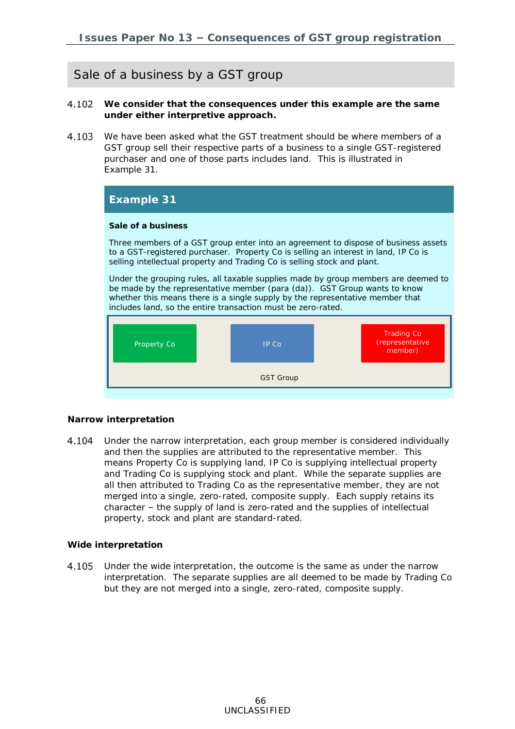## Sale of a business by a GST group

- <span id="page-65-0"></span>4.102 **We consider that the consequences under this example are the same under either interpretive approach.**
- 4.103 We have been asked what the GST treatment should be where members of a GST group sell their respective parts of a business to a single GST-registered purchaser and one of those parts includes land. This is illustrated in Example 31.

| Example 31                                                                                                                                                                                                                                                                                                       |              |                            |  |  |
|------------------------------------------------------------------------------------------------------------------------------------------------------------------------------------------------------------------------------------------------------------------------------------------------------------------|--------------|----------------------------|--|--|
| Sale of a business                                                                                                                                                                                                                                                                                               |              |                            |  |  |
| Three members of a GST group enter into an agreement to dispose of business assets<br>to a GST-registered purchaser. Property Co is selling an interest in land, IP Co is<br>selling intellectual property and Trading Co is selling stock and plant.                                                            |              |                            |  |  |
| Under the grouping rules, all taxable supplies made by group members are deemed to<br>be made by the representative member (para (da)). GST Group wants to know<br>whether this means there is a single supply by the representative member that<br>includes land, so the entire transaction must be zero-rated. |              |                            |  |  |
|                                                                                                                                                                                                                                                                                                                  |              | <b>Trading Co</b>          |  |  |
| Property Co                                                                                                                                                                                                                                                                                                      | <b>IP Co</b> | (representative<br>member) |  |  |
| <b>GST Group</b>                                                                                                                                                                                                                                                                                                 |              |                            |  |  |

#### *Narrow interpretation*

Under the narrow interpretation, each group member is considered individually 4.104 and then the supplies are attributed to the representative member. This means Property Co is supplying land, IP Co is supplying intellectual property and Trading Co is supplying stock and plant. While the separate supplies are all then attributed to Trading Co as the representative member, they are not merged into a single, zero-rated, composite supply. Each supply retains its character – the supply of land is zero-rated and the supplies of intellectual property, stock and plant are standard-rated.

#### *Wide interpretation*

4.105 Under the wide interpretation, the outcome is the same as under the narrow interpretation. The separate supplies are all deemed to be made by Trading Co but they are not merged into a single, zero-rated, composite supply.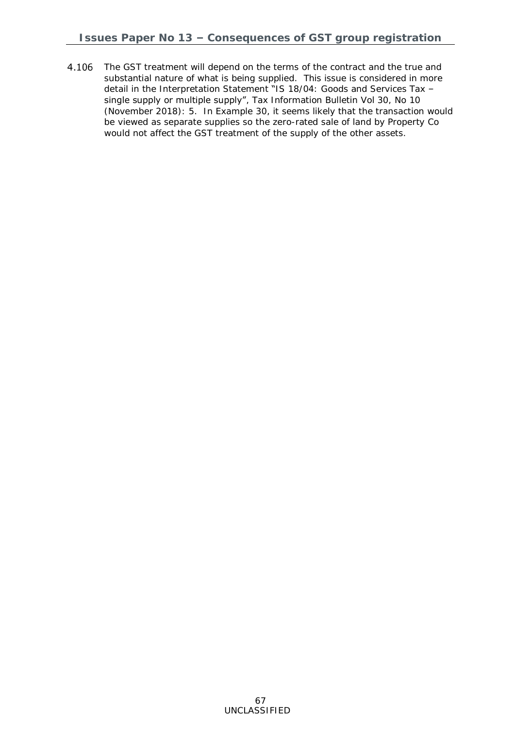4.106 The GST treatment will depend on the terms of the contract and the true and substantial nature of what is being supplied. This issue is considered in more detail in the Interpretation Statement "IS 18/04: Goods and Services Tax – single supply or multiple supply", *Tax Information Bulletin* Vol 30, No 10 (November 2018): 5. In Example 30, it seems likely that the transaction would be viewed as separate supplies so the zero-rated sale of land by Property Co would not affect the GST treatment of the supply of the other assets.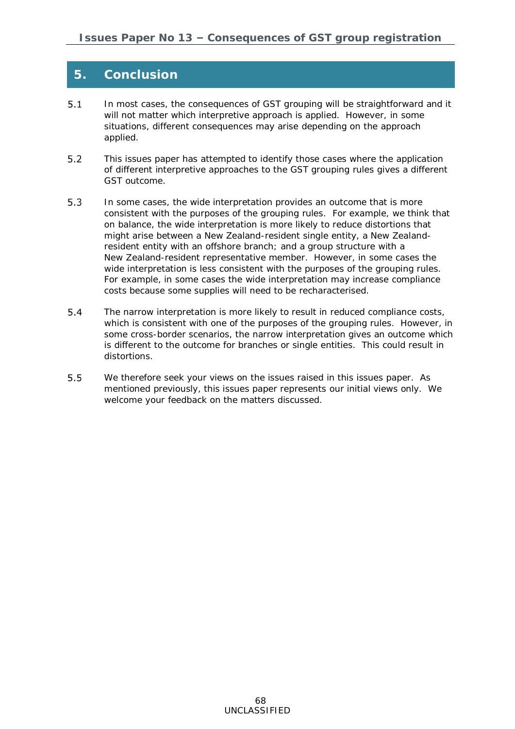## **5. Conclusion**

- $5.1$ In most cases, the consequences of GST grouping will be straightforward and it will not matter which interpretive approach is applied. However, in some situations, different consequences may arise depending on the approach applied.
- This issues paper has attempted to identify those cases where the application  $5.2$ of different interpretive approaches to the GST grouping rules gives a different GST outcome.
- $5.3$ In some cases, the wide interpretation provides an outcome that is more consistent with the purposes of the grouping rules. For example, we think that on balance, the wide interpretation is more likely to reduce distortions that might arise between a New Zealand-resident single entity, a New Zealandresident entity with an offshore branch; and a group structure with a New Zealand-resident representative member. However, in some cases the wide interpretation is less consistent with the purposes of the grouping rules. For example, in some cases the wide interpretation may increase compliance costs because some supplies will need to be recharacterised.
- $5.4$ The narrow interpretation is more likely to result in reduced compliance costs, which is consistent with one of the purposes of the grouping rules. However, in some cross-border scenarios, the narrow interpretation gives an outcome which is different to the outcome for branches or single entities. This could result in distortions.
- $5.5$ We therefore seek your views on the issues raised in this issues paper. As mentioned previously, this issues paper represents our initial views only. We welcome your feedback on the matters discussed.